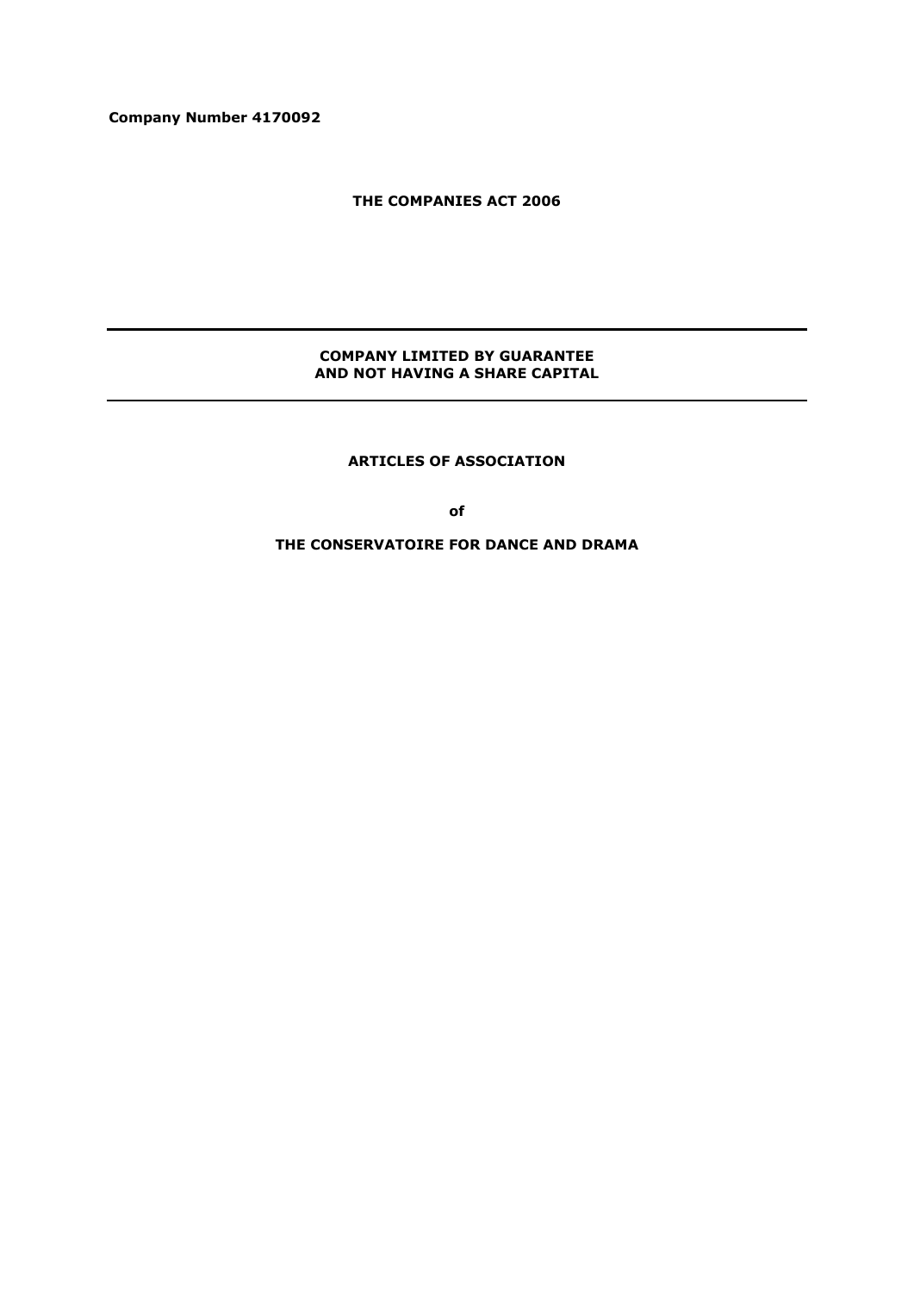**Company Number 4170092**

**THE COMPANIES ACT 2006**

## **COMPANY LIMITED BY GUARANTEE AND NOT HAVING A SHARE CAPITAL**

**ARTICLES OF ASSOCIATION**

**of**

**THE CONSERVATOIRE FOR DANCE AND DRAMA**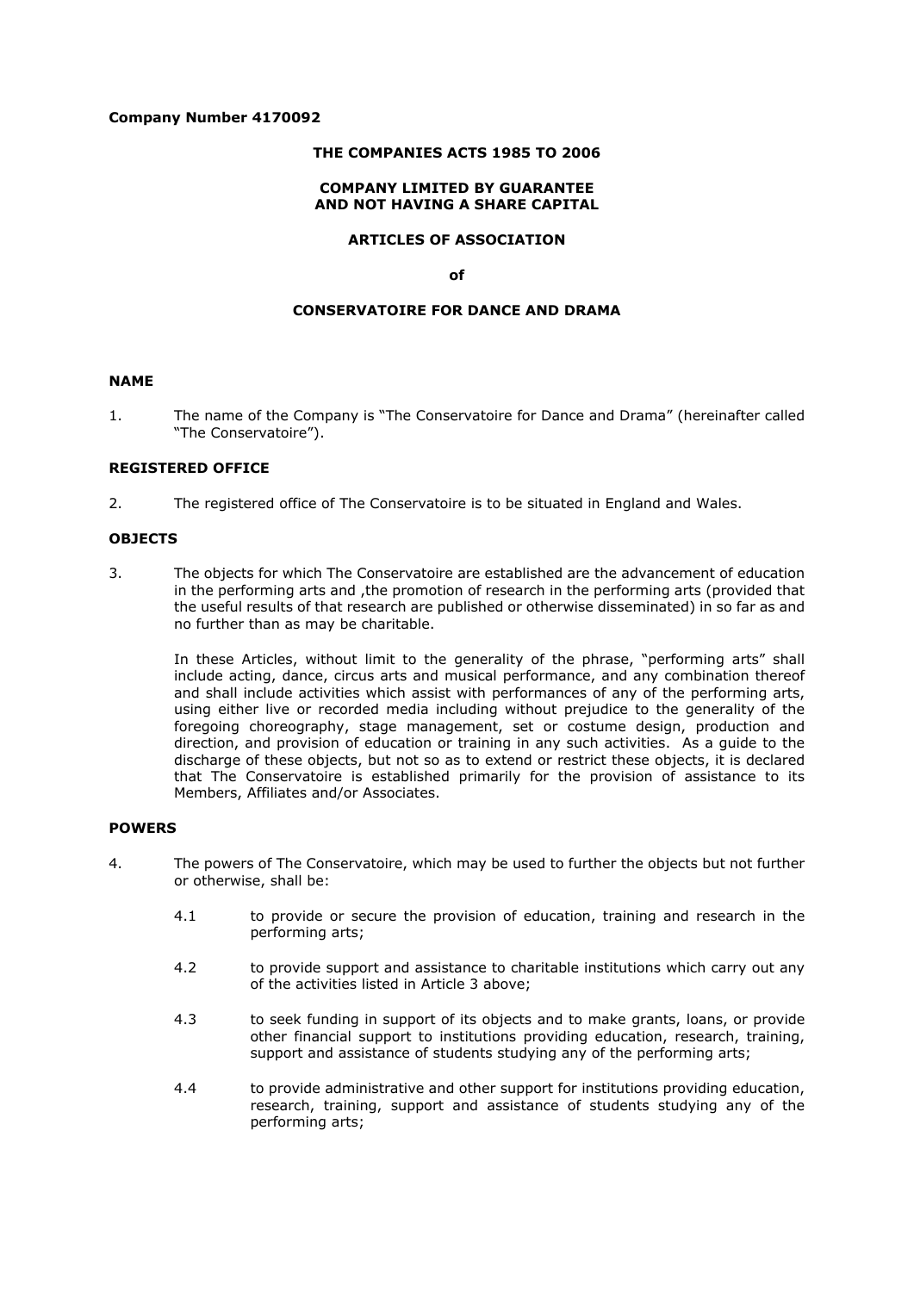#### **Company Number 4170092**

#### **THE COMPANIES ACTS 1985 TO 2006**

#### **COMPANY LIMITED BY GUARANTEE AND NOT HAVING A SHARE CAPITAL**

## **ARTICLES OF ASSOCIATION**

#### **of**

#### **CONSERVATOIRE FOR DANCE AND DRAMA**

#### **NAME**

1. The name of the Company is "The Conservatoire for Dance and Drama" (hereinafter called "The Conservatoire").

#### **REGISTERED OFFICE**

2. The registered office of The Conservatoire is to be situated in England and Wales.

#### **OBJECTS**

3. The objects for which The Conservatoire are established are the advancement of education in the performing arts and ,the promotion of research in the performing arts (provided that the useful results of that research are published or otherwise disseminated) in so far as and no further than as may be charitable.

In these Articles, without limit to the generality of the phrase, "performing arts" shall include acting, dance, circus arts and musical performance, and any combination thereof and shall include activities which assist with performances of any of the performing arts, using either live or recorded media including without prejudice to the generality of the foregoing choreography, stage management, set or costume design, production and direction, and provision of education or training in any such activities. As a guide to the discharge of these objects, but not so as to extend or restrict these objects, it is declared that The Conservatoire is established primarily for the provision of assistance to its Members, Affiliates and/or Associates.

#### **POWERS**

- 4. The powers of The Conservatoire, which may be used to further the objects but not further or otherwise, shall be:
	- 4.1 to provide or secure the provision of education, training and research in the performing arts;
	- 4.2 to provide support and assistance to charitable institutions which carry out any of the activities listed in Article 3 above;
	- 4.3 to seek funding in support of its objects and to make grants, loans, or provide other financial support to institutions providing education, research, training, support and assistance of students studying any of the performing arts;
	- 4.4 to provide administrative and other support for institutions providing education, research, training, support and assistance of students studying any of the performing arts;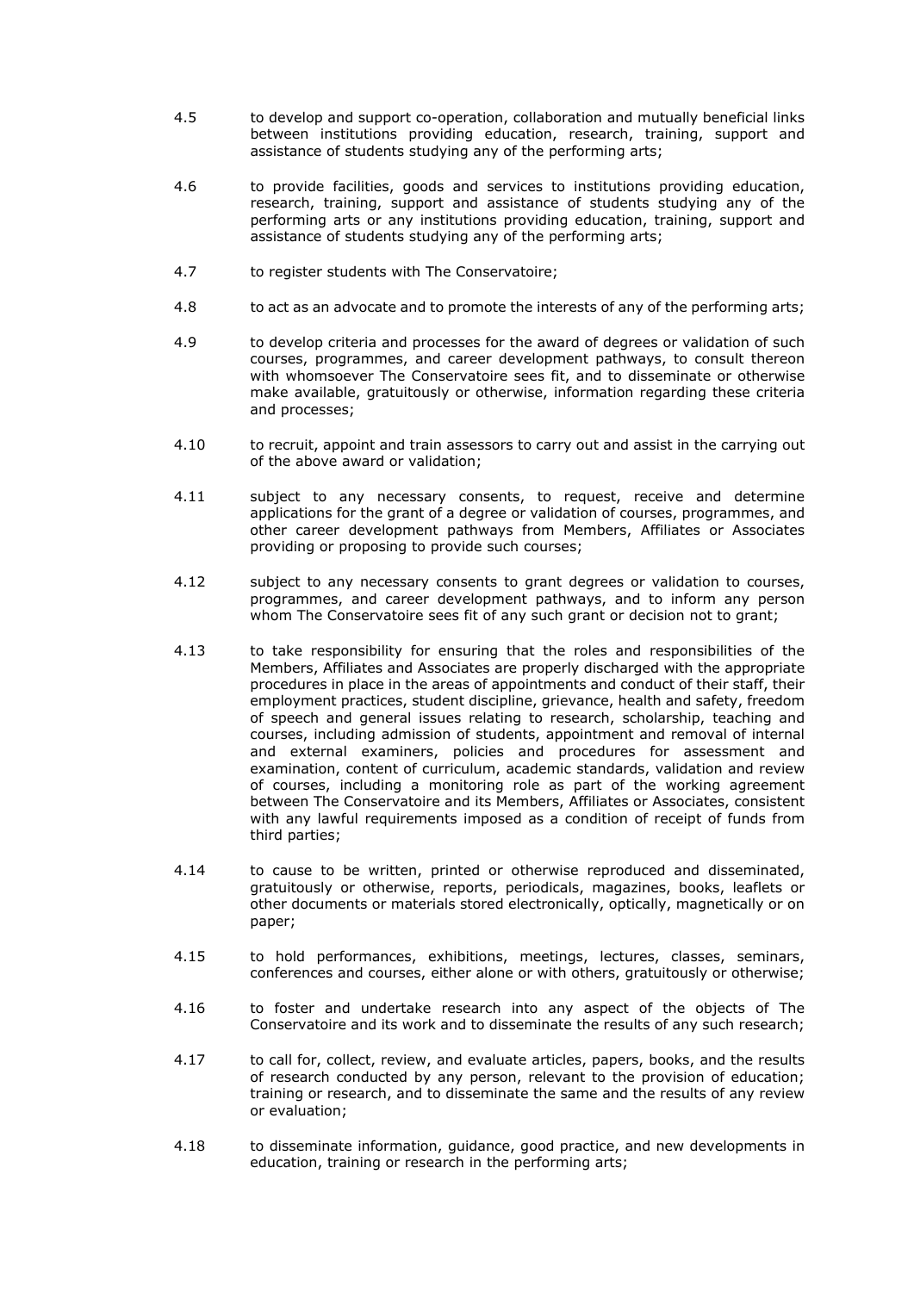- 4.5 to develop and support co-operation, collaboration and mutually beneficial links between institutions providing education, research, training, support and assistance of students studying any of the performing arts;
- 4.6 to provide facilities, goods and services to institutions providing education, research, training, support and assistance of students studying any of the performing arts or any institutions providing education, training, support and assistance of students studying any of the performing arts;
- 4.7 to register students with The Conservatoire;
- 4.8 to act as an advocate and to promote the interests of any of the performing arts;
- 4.9 to develop criteria and processes for the award of degrees or validation of such courses, programmes, and career development pathways, to consult thereon with whomsoever The Conservatoire sees fit, and to disseminate or otherwise make available, gratuitously or otherwise, information regarding these criteria and processes;
- 4.10 to recruit, appoint and train assessors to carry out and assist in the carrying out of the above award or validation;
- 4.11 subject to any necessary consents, to request, receive and determine applications for the grant of a degree or validation of courses, programmes, and other career development pathways from Members, Affiliates or Associates providing or proposing to provide such courses;
- 4.12 subject to any necessary consents to grant degrees or validation to courses, programmes, and career development pathways, and to inform any person whom The Conservatoire sees fit of any such grant or decision not to grant:
- 4.13 to take responsibility for ensuring that the roles and responsibilities of the Members, Affiliates and Associates are properly discharged with the appropriate procedures in place in the areas of appointments and conduct of their staff, their employment practices, student discipline, grievance, health and safety, freedom of speech and general issues relating to research, scholarship, teaching and courses, including admission of students, appointment and removal of internal and external examiners, policies and procedures for assessment and examination, content of curriculum, academic standards, validation and review of courses, including a monitoring role as part of the working agreement between The Conservatoire and its Members, Affiliates or Associates, consistent with any lawful requirements imposed as a condition of receipt of funds from third parties;
- 4.14 to cause to be written, printed or otherwise reproduced and disseminated, gratuitously or otherwise, reports, periodicals, magazines, books, leaflets or other documents or materials stored electronically, optically, magnetically or on paper;
- 4.15 to hold performances, exhibitions, meetings, lectures, classes, seminars, conferences and courses, either alone or with others, gratuitously or otherwise;
- 4.16 to foster and undertake research into any aspect of the objects of The Conservatoire and its work and to disseminate the results of any such research;
- 4.17 to call for, collect, review, and evaluate articles, papers, books, and the results of research conducted by any person, relevant to the provision of education; training or research, and to disseminate the same and the results of any review or evaluation;
- 4.18 to disseminate information, guidance, good practice, and new developments in education, training or research in the performing arts;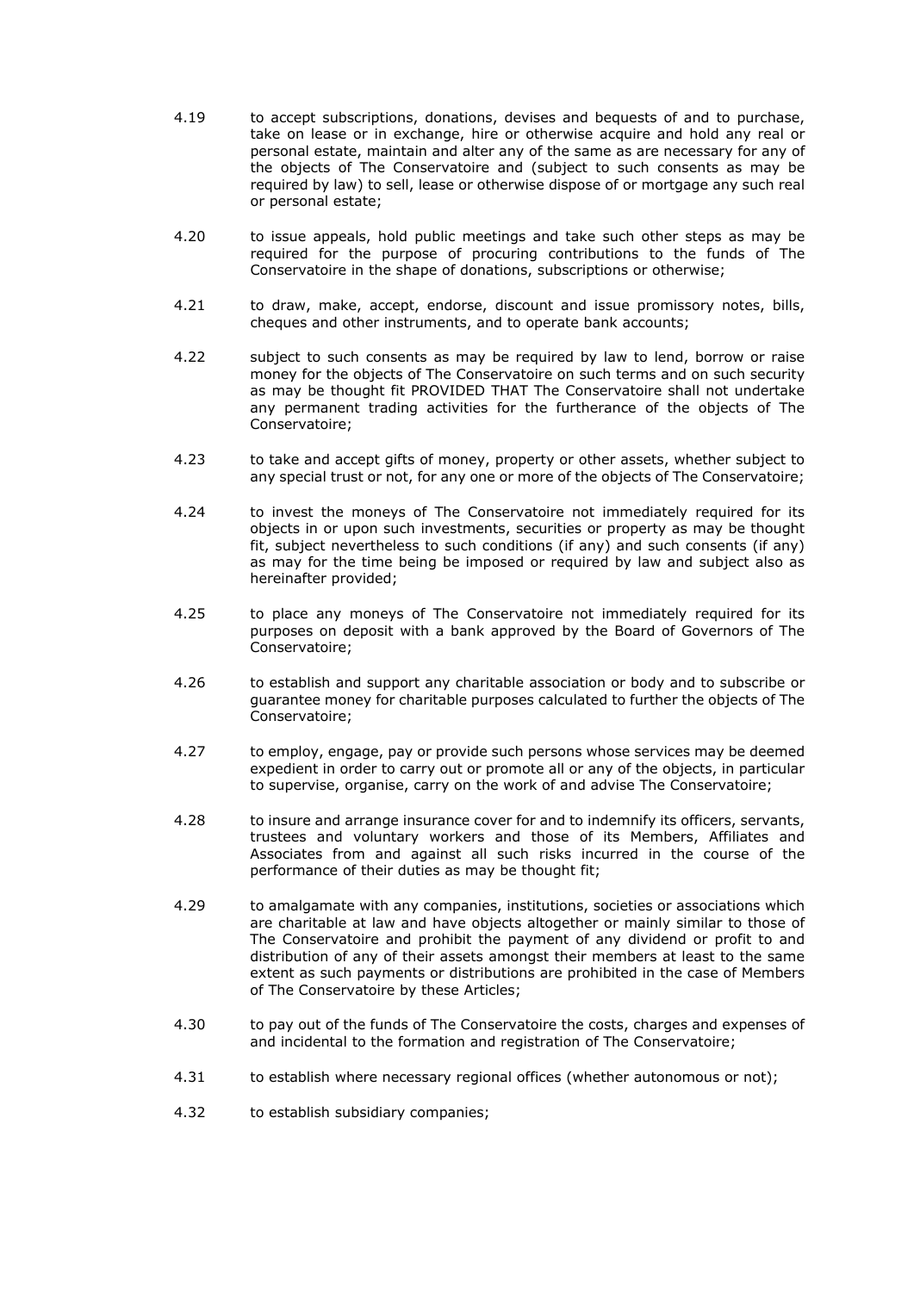- 4.19 to accept subscriptions, donations, devises and bequests of and to purchase, take on lease or in exchange, hire or otherwise acquire and hold any real or personal estate, maintain and alter any of the same as are necessary for any of the objects of The Conservatoire and (subject to such consents as may be required by law) to sell, lease or otherwise dispose of or mortgage any such real or personal estate;
- 4.20 to issue appeals, hold public meetings and take such other steps as may be required for the purpose of procuring contributions to the funds of The Conservatoire in the shape of donations, subscriptions or otherwise;
- 4.21 to draw, make, accept, endorse, discount and issue promissory notes, bills, cheques and other instruments, and to operate bank accounts;
- 4.22 subject to such consents as may be required by law to lend, borrow or raise money for the objects of The Conservatoire on such terms and on such security as may be thought fit PROVIDED THAT The Conservatoire shall not undertake any permanent trading activities for the furtherance of the objects of The Conservatoire;
- 4.23 to take and accept gifts of money, property or other assets, whether subject to any special trust or not, for any one or more of the objects of The Conservatoire;
- 4.24 to invest the moneys of The Conservatoire not immediately required for its objects in or upon such investments, securities or property as may be thought fit, subject nevertheless to such conditions (if any) and such consents (if any) as may for the time being be imposed or required by law and subject also as hereinafter provided;
- 4.25 to place any moneys of The Conservatoire not immediately required for its purposes on deposit with a bank approved by the Board of Governors of The Conservatoire;
- 4.26 to establish and support any charitable association or body and to subscribe or guarantee money for charitable purposes calculated to further the objects of The Conservatoire;
- 4.27 to employ, engage, pay or provide such persons whose services may be deemed expedient in order to carry out or promote all or any of the objects, in particular to supervise, organise, carry on the work of and advise The Conservatoire;
- 4.28 to insure and arrange insurance cover for and to indemnify its officers, servants, trustees and voluntary workers and those of its Members, Affiliates and Associates from and against all such risks incurred in the course of the performance of their duties as may be thought fit;
- 4.29 to amalgamate with any companies, institutions, societies or associations which are charitable at law and have objects altogether or mainly similar to those of The Conservatoire and prohibit the payment of any dividend or profit to and distribution of any of their assets amongst their members at least to the same extent as such payments or distributions are prohibited in the case of Members of The Conservatoire by these Articles;
- 4.30 to pay out of the funds of The Conservatoire the costs, charges and expenses of and incidental to the formation and registration of The Conservatoire;
- 4.31 to establish where necessary regional offices (whether autonomous or not);
- 4.32 to establish subsidiary companies;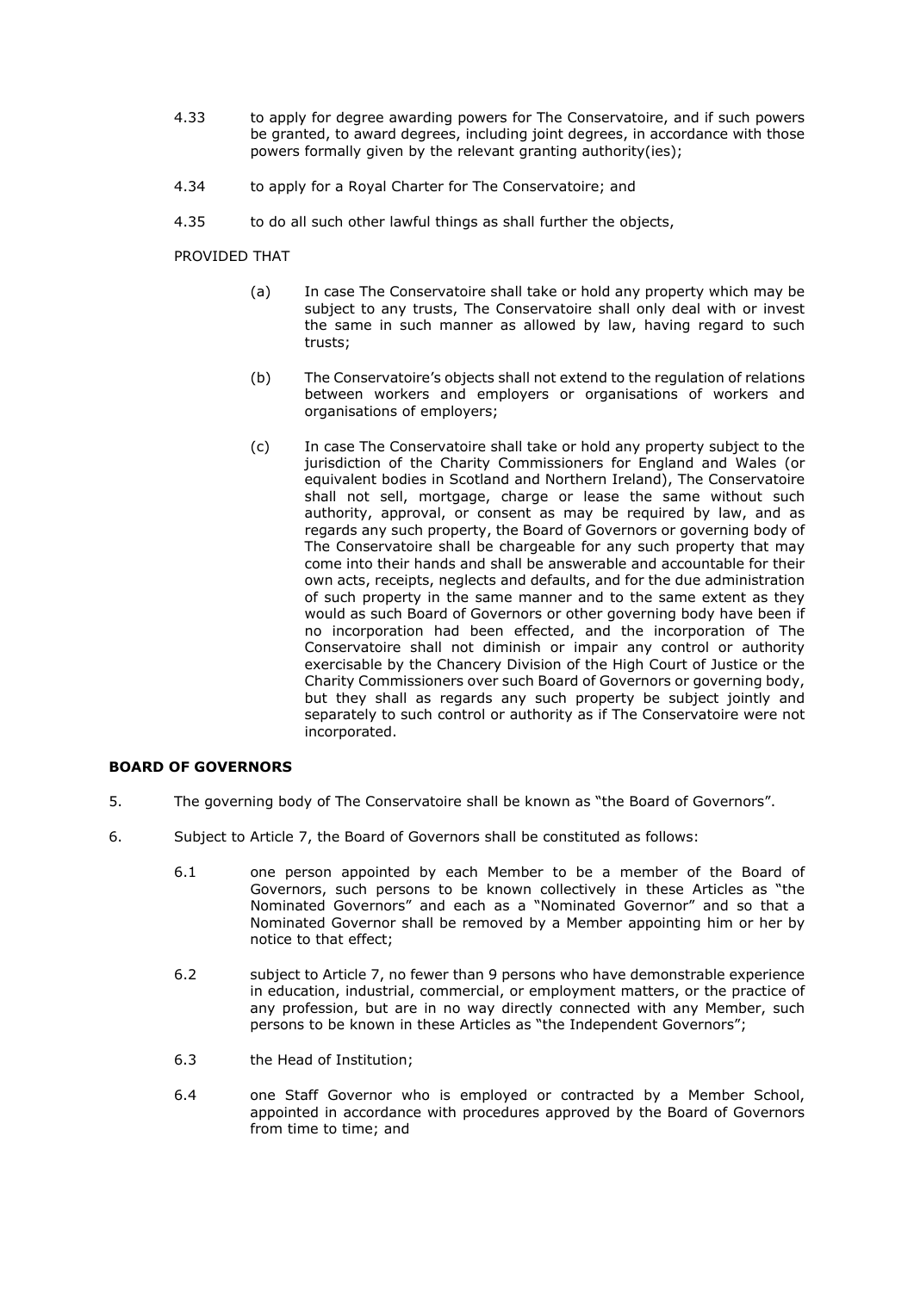- 4.33 to apply for degree awarding powers for The Conservatoire, and if such powers be granted, to award degrees, including joint degrees, in accordance with those powers formally given by the relevant granting authority(ies);
- 4.34 to apply for a Royal Charter for The Conservatoire; and
- 4.35 to do all such other lawful things as shall further the objects,

PROVIDED THAT

- (a) In case The Conservatoire shall take or hold any property which may be subject to any trusts, The Conservatoire shall only deal with or invest the same in such manner as allowed by law, having regard to such trusts;
- (b) The Conservatoire's objects shall not extend to the regulation of relations between workers and employers or organisations of workers and organisations of employers;
- (c) In case The Conservatoire shall take or hold any property subject to the jurisdiction of the Charity Commissioners for England and Wales (or equivalent bodies in Scotland and Northern Ireland), The Conservatoire shall not sell, mortgage, charge or lease the same without such authority, approval, or consent as may be required by law, and as regards any such property, the Board of Governors or governing body of The Conservatoire shall be chargeable for any such property that may come into their hands and shall be answerable and accountable for their own acts, receipts, neglects and defaults, and for the due administration of such property in the same manner and to the same extent as they would as such Board of Governors or other governing body have been if no incorporation had been effected, and the incorporation of The Conservatoire shall not diminish or impair any control or authority exercisable by the Chancery Division of the High Court of Justice or the Charity Commissioners over such Board of Governors or governing body, but they shall as regards any such property be subject jointly and separately to such control or authority as if The Conservatoire were not incorporated.

# **BOARD OF GOVERNORS**

- 5. The governing body of The Conservatoire shall be known as "the Board of Governors".
- 6. Subject to Article 7, the Board of Governors shall be constituted as follows:
	- 6.1 one person appointed by each Member to be a member of the Board of Governors, such persons to be known collectively in these Articles as "the Nominated Governors" and each as a "Nominated Governor" and so that a Nominated Governor shall be removed by a Member appointing him or her by notice to that effect;
	- 6.2 subject to Article 7, no fewer than 9 persons who have demonstrable experience in education, industrial, commercial, or employment matters, or the practice of any profession, but are in no way directly connected with any Member, such persons to be known in these Articles as "the Independent Governors";
	- 6.3 the Head of Institution;
	- 6.4 one Staff Governor who is employed or contracted by a Member School, appointed in accordance with procedures approved by the Board of Governors from time to time; and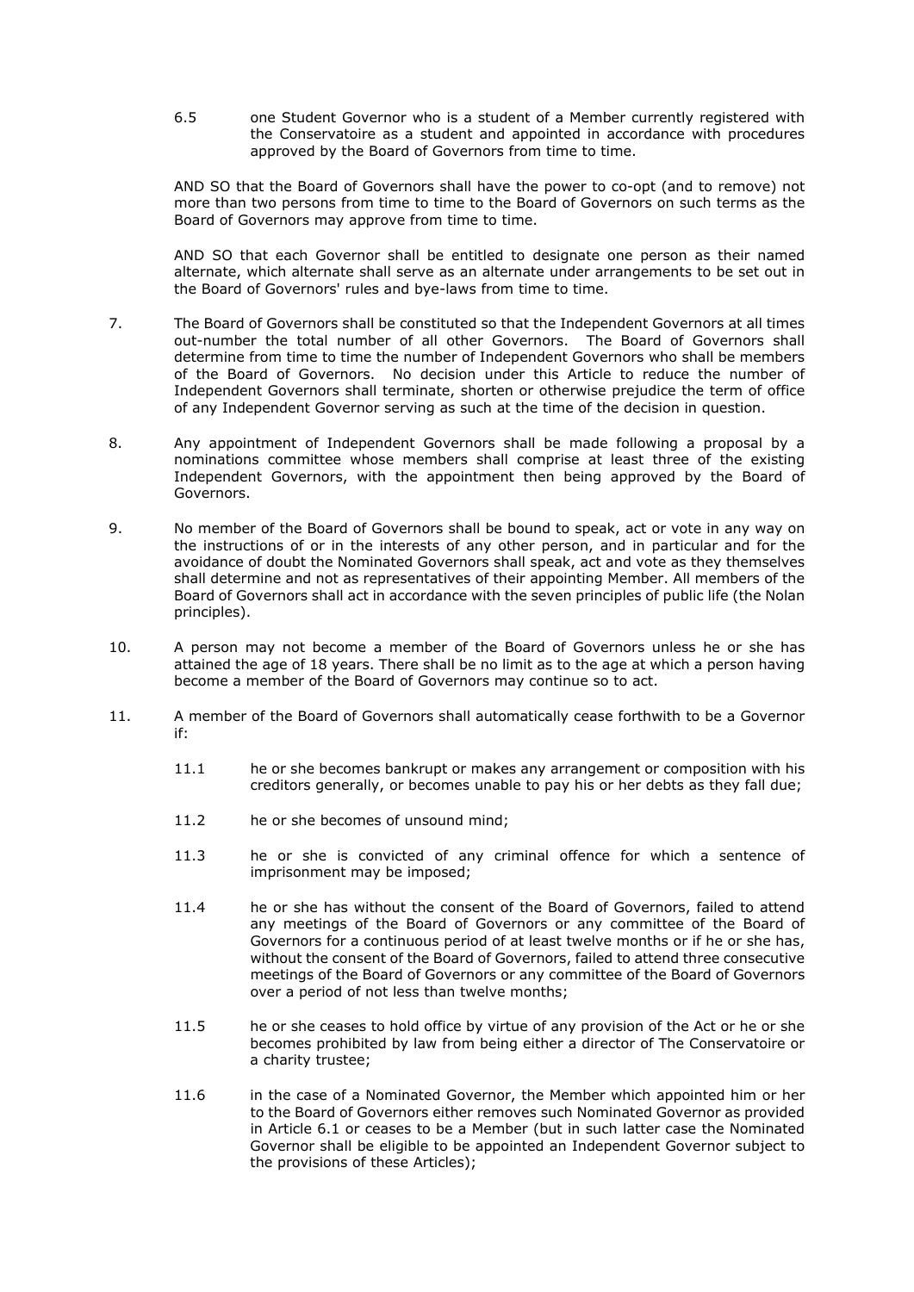6.5 one Student Governor who is a student of a Member currently registered with the Conservatoire as a student and appointed in accordance with procedures approved by the Board of Governors from time to time.

AND SO that the Board of Governors shall have the power to co-opt (and to remove) not more than two persons from time to time to the Board of Governors on such terms as the Board of Governors may approve from time to time.

AND SO that each Governor shall be entitled to designate one person as their named alternate, which alternate shall serve as an alternate under arrangements to be set out in the Board of Governors' rules and bye-laws from time to time.

- 7. The Board of Governors shall be constituted so that the Independent Governors at all times out-number the total number of all other Governors. The Board of Governors shall determine from time to time the number of Independent Governors who shall be members of the Board of Governors. No decision under this Article to reduce the number of Independent Governors shall terminate, shorten or otherwise prejudice the term of office of any Independent Governor serving as such at the time of the decision in question.
- 8. Any appointment of Independent Governors shall be made following a proposal by a nominations committee whose members shall comprise at least three of the existing Independent Governors, with the appointment then being approved by the Board of Governors.
- 9. No member of the Board of Governors shall be bound to speak, act or vote in any way on the instructions of or in the interests of any other person, and in particular and for the avoidance of doubt the Nominated Governors shall speak, act and vote as they themselves shall determine and not as representatives of their appointing Member. All members of the Board of Governors shall act in accordance with the seven principles of public life (the Nolan principles).
- 10. A person may not become a member of the Board of Governors unless he or she has attained the age of 18 years. There shall be no limit as to the age at which a person having become a member of the Board of Governors may continue so to act.
- 11. A member of the Board of Governors shall automatically cease forthwith to be a Governor if:
	- 11.1 he or she becomes bankrupt or makes any arrangement or composition with his creditors generally, or becomes unable to pay his or her debts as they fall due;
	- 11.2 he or she becomes of unsound mind;
	- 11.3 he or she is convicted of any criminal offence for which a sentence of imprisonment may be imposed;
	- 11.4 he or she has without the consent of the Board of Governors, failed to attend any meetings of the Board of Governors or any committee of the Board of Governors for a continuous period of at least twelve months or if he or she has, without the consent of the Board of Governors, failed to attend three consecutive meetings of the Board of Governors or any committee of the Board of Governors over a period of not less than twelve months;
	- 11.5 he or she ceases to hold office by virtue of any provision of the Act or he or she becomes prohibited by law from being either a director of The Conservatoire or a charity trustee;
	- 11.6 in the case of a Nominated Governor, the Member which appointed him or her to the Board of Governors either removes such Nominated Governor as provided in Article 6.1 or ceases to be a Member (but in such latter case the Nominated Governor shall be eligible to be appointed an Independent Governor subject to the provisions of these Articles);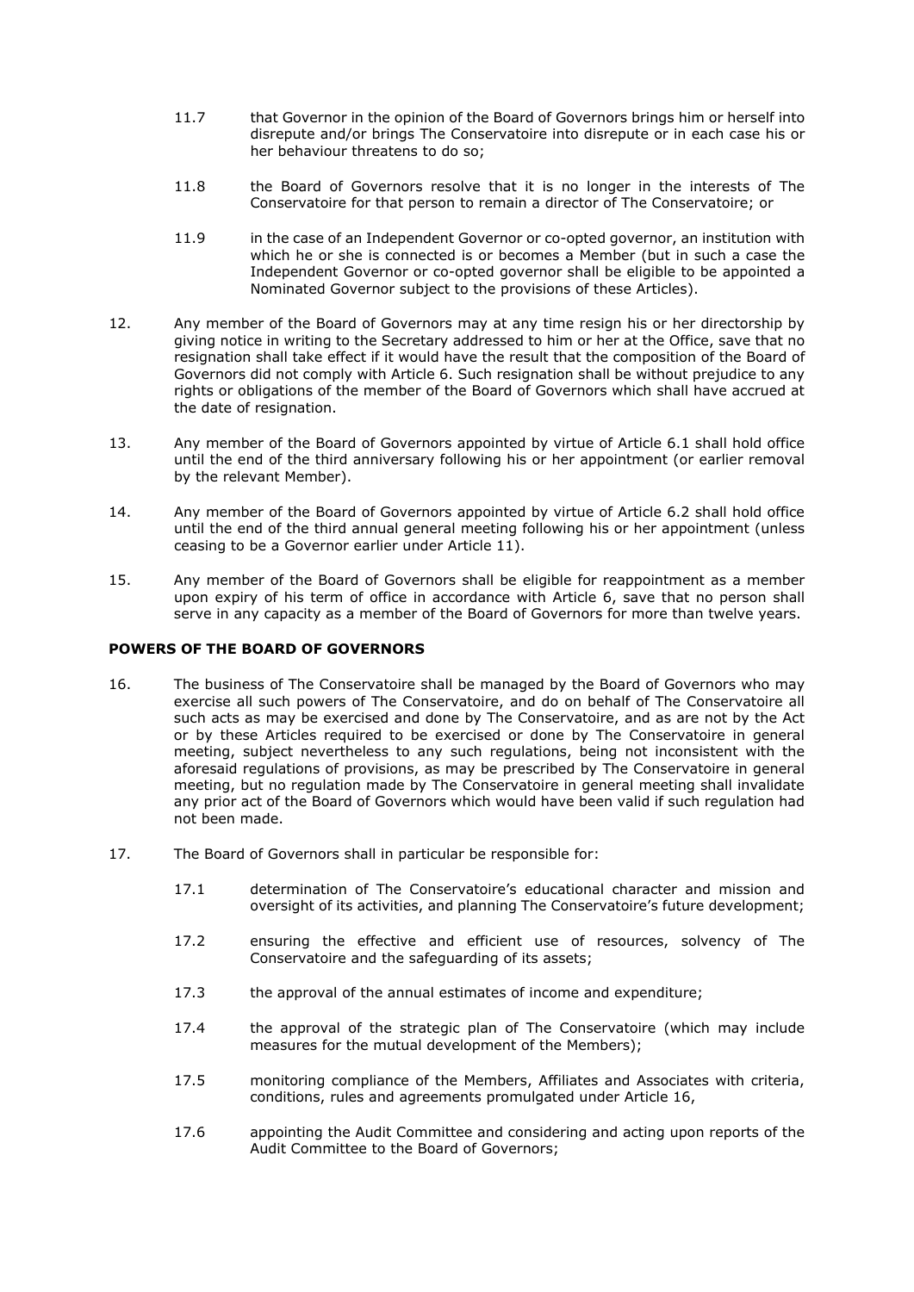- 11.7 that Governor in the opinion of the Board of Governors brings him or herself into disrepute and/or brings The Conservatoire into disrepute or in each case his or her behaviour threatens to do so;
- 11.8 the Board of Governors resolve that it is no longer in the interests of The Conservatoire for that person to remain a director of The Conservatoire; or
- 11.9 in the case of an Independent Governor or co-opted governor, an institution with which he or she is connected is or becomes a Member (but in such a case the Independent Governor or co-opted governor shall be eligible to be appointed a Nominated Governor subject to the provisions of these Articles).
- 12. Any member of the Board of Governors may at any time resign his or her directorship by giving notice in writing to the Secretary addressed to him or her at the Office, save that no resignation shall take effect if it would have the result that the composition of the Board of Governors did not comply with Article 6. Such resignation shall be without prejudice to any rights or obligations of the member of the Board of Governors which shall have accrued at the date of resignation.
- 13. Any member of the Board of Governors appointed by virtue of Article 6.1 shall hold office until the end of the third anniversary following his or her appointment (or earlier removal by the relevant Member).
- 14. Any member of the Board of Governors appointed by virtue of Article 6.2 shall hold office until the end of the third annual general meeting following his or her appointment (unless ceasing to be a Governor earlier under Article  $11$ ).
- 15. Any member of the Board of Governors shall be eligible for reappointment as a member upon expiry of his term of office in accordance with Article 6, save that no person shall serve in any capacity as a member of the Board of Governors for more than twelve years.

## **POWERS OF THE BOARD OF GOVERNORS**

- 16. The business of The Conservatoire shall be managed by the Board of Governors who may exercise all such powers of The Conservatoire, and do on behalf of The Conservatoire all such acts as may be exercised and done by The Conservatoire, and as are not by the Act or by these Articles required to be exercised or done by The Conservatoire in general meeting, subject nevertheless to any such regulations, being not inconsistent with the aforesaid regulations of provisions, as may be prescribed by The Conservatoire in general meeting, but no regulation made by The Conservatoire in general meeting shall invalidate any prior act of the Board of Governors which would have been valid if such regulation had not been made.
- 17. The Board of Governors shall in particular be responsible for:
	- 17.1 determination of The Conservatoire's educational character and mission and oversight of its activities, and planning The Conservatoire's future development;
	- 17.2 ensuring the effective and efficient use of resources, solvency of The Conservatoire and the safeguarding of its assets;
	- 17.3 the approval of the annual estimates of income and expenditure;
	- 17.4 the approval of the strategic plan of The Conservatoire (which may include measures for the mutual development of the Members);
	- 17.5 monitoring compliance of the Members, Affiliates and Associates with criteria, conditions, rules and agreements promulgated under Article 16,
	- 17.6 appointing the Audit Committee and considering and acting upon reports of the Audit Committee to the Board of Governors;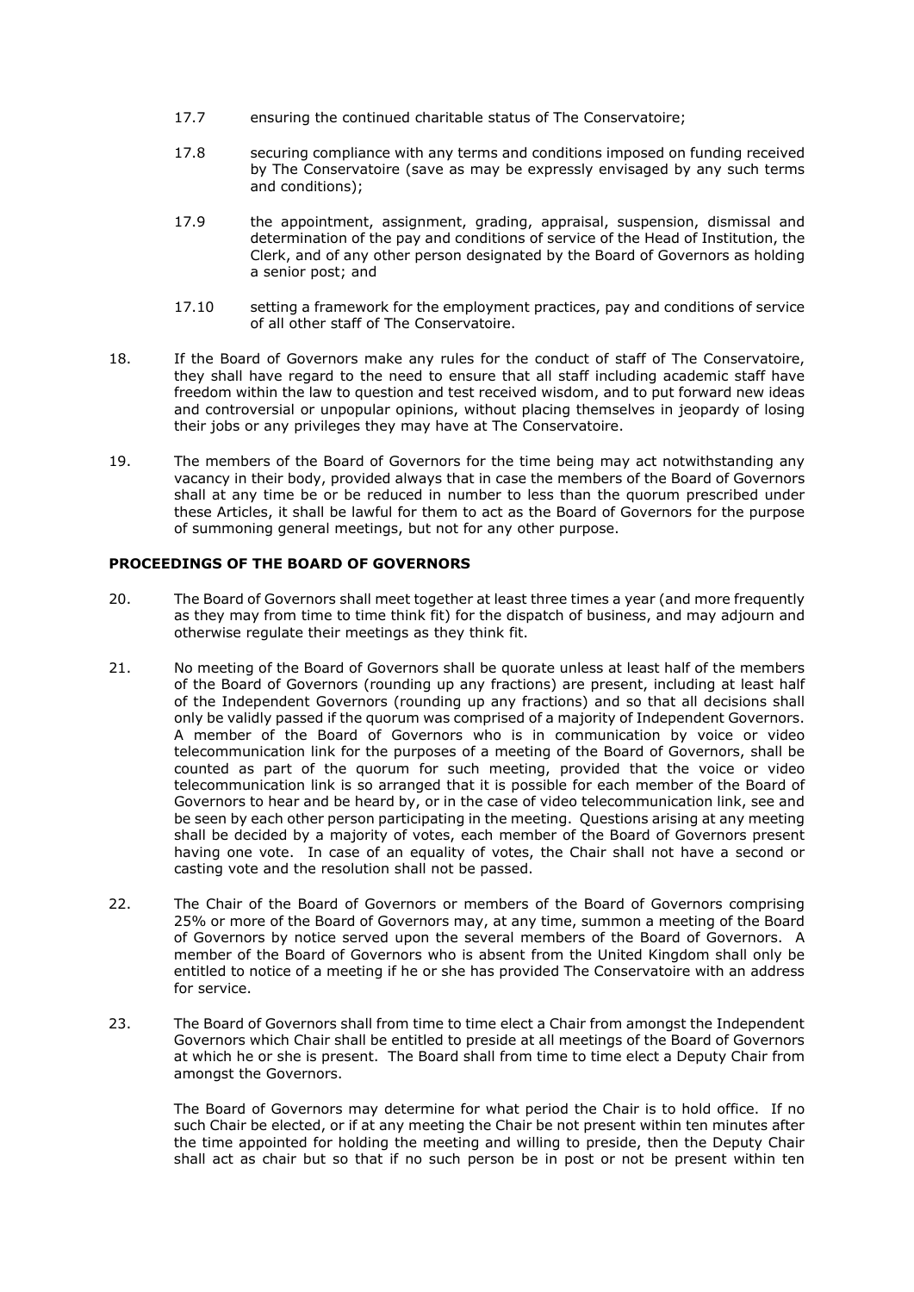- 17.7 ensuring the continued charitable status of The Conservatoire;
- 17.8 securing compliance with any terms and conditions imposed on funding received by The Conservatoire (save as may be expressly envisaged by any such terms and conditions);
- 17.9 the appointment, assignment, grading, appraisal, suspension, dismissal and determination of the pay and conditions of service of the Head of Institution, the Clerk, and of any other person designated by the Board of Governors as holding a senior post; and
- 17.10 setting a framework for the employment practices, pay and conditions of service of all other staff of The Conservatoire.
- 18. If the Board of Governors make any rules for the conduct of staff of The Conservatoire, they shall have regard to the need to ensure that all staff including academic staff have freedom within the law to question and test received wisdom, and to put forward new ideas and controversial or unpopular opinions, without placing themselves in jeopardy of losing their jobs or any privileges they may have at The Conservatoire.
- 19. The members of the Board of Governors for the time being may act notwithstanding any vacancy in their body, provided always that in case the members of the Board of Governors shall at any time be or be reduced in number to less than the quorum prescribed under these Articles, it shall be lawful for them to act as the Board of Governors for the purpose of summoning general meetings, but not for any other purpose.

# **PROCEEDINGS OF THE BOARD OF GOVERNORS**

- 20. The Board of Governors shall meet together at least three times a year (and more frequently as they may from time to time think fit) for the dispatch of business, and may adjourn and otherwise regulate their meetings as they think fit.
- 21. No meeting of the Board of Governors shall be quorate unless at least half of the members of the Board of Governors (rounding up any fractions) are present, including at least half of the Independent Governors (rounding up any fractions) and so that all decisions shall only be validly passed if the quorum was comprised of a majority of Independent Governors. A member of the Board of Governors who is in communication by voice or video telecommunication link for the purposes of a meeting of the Board of Governors, shall be counted as part of the quorum for such meeting, provided that the voice or video telecommunication link is so arranged that it is possible for each member of the Board of Governors to hear and be heard by, or in the case of video telecommunication link, see and be seen by each other person participating in the meeting. Questions arising at any meeting shall be decided by a majority of votes, each member of the Board of Governors present having one vote. In case of an equality of votes, the Chair shall not have a second or casting vote and the resolution shall not be passed.
- 22. The Chair of the Board of Governors or members of the Board of Governors comprising 25% or more of the Board of Governors may, at any time, summon a meeting of the Board of Governors by notice served upon the several members of the Board of Governors. A member of the Board of Governors who is absent from the United Kingdom shall only be entitled to notice of a meeting if he or she has provided The Conservatoire with an address for service.
- 23. The Board of Governors shall from time to time elect a Chair from amongst the Independent Governors which Chair shall be entitled to preside at all meetings of the Board of Governors at which he or she is present. The Board shall from time to time elect a Deputy Chair from amongst the Governors.

The Board of Governors may determine for what period the Chair is to hold office. If no such Chair be elected, or if at any meeting the Chair be not present within ten minutes after the time appointed for holding the meeting and willing to preside, then the Deputy Chair shall act as chair but so that if no such person be in post or not be present within ten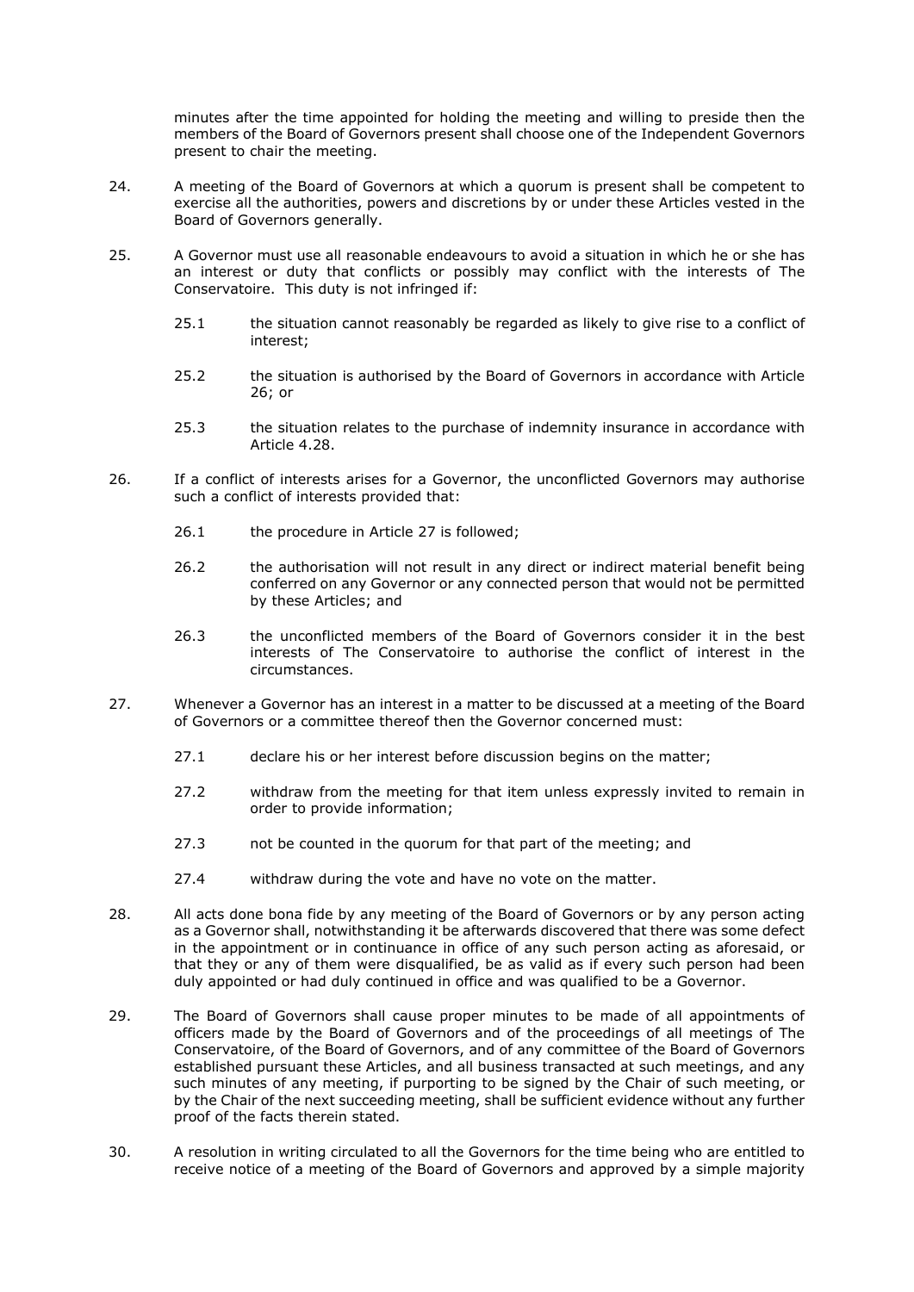minutes after the time appointed for holding the meeting and willing to preside then the members of the Board of Governors present shall choose one of the Independent Governors present to chair the meeting.

- 24. A meeting of the Board of Governors at which a quorum is present shall be competent to exercise all the authorities, powers and discretions by or under these Articles vested in the Board of Governors generally.
- 25. A Governor must use all reasonable endeavours to avoid a situation in which he or she has an interest or duty that conflicts or possibly may conflict with the interests of The Conservatoire. This duty is not infringed if:
	- 25.1 the situation cannot reasonably be regarded as likely to give rise to a conflict of interest;
	- 25.2 the situation is authorised by the Board of Governors in accordance with Article 26; or
	- 25.3 the situation relates to the purchase of indemnity insurance in accordance with Article 4.28.
- 26. If a conflict of interests arises for a Governor, the unconflicted Governors may authorise such a conflict of interests provided that:
	- 26.1 the procedure in Article 27 is followed;
	- 26.2 the authorisation will not result in any direct or indirect material benefit being conferred on any Governor or any connected person that would not be permitted by these Articles; and
	- 26.3 the unconflicted members of the Board of Governors consider it in the best interests of The Conservatoire to authorise the conflict of interest in the circumstances.
- 27. Whenever a Governor has an interest in a matter to be discussed at a meeting of the Board of Governors or a committee thereof then the Governor concerned must:
	- 27.1 declare his or her interest before discussion begins on the matter;
	- 27.2 withdraw from the meeting for that item unless expressly invited to remain in order to provide information;
	- 27.3 not be counted in the quorum for that part of the meeting; and
	- 27.4 withdraw during the vote and have no vote on the matter.
- 28. All acts done bona fide by any meeting of the Board of Governors or by any person acting as a Governor shall, notwithstanding it be afterwards discovered that there was some defect in the appointment or in continuance in office of any such person acting as aforesaid, or that they or any of them were disqualified, be as valid as if every such person had been duly appointed or had duly continued in office and was qualified to be a Governor.
- 29. The Board of Governors shall cause proper minutes to be made of all appointments of officers made by the Board of Governors and of the proceedings of all meetings of The Conservatoire, of the Board of Governors, and of any committee of the Board of Governors established pursuant these Articles, and all business transacted at such meetings, and any such minutes of any meeting, if purporting to be signed by the Chair of such meeting, or by the Chair of the next succeeding meeting, shall be sufficient evidence without any further proof of the facts therein stated.
- 30. A resolution in writing circulated to all the Governors for the time being who are entitled to receive notice of a meeting of the Board of Governors and approved by a simple majority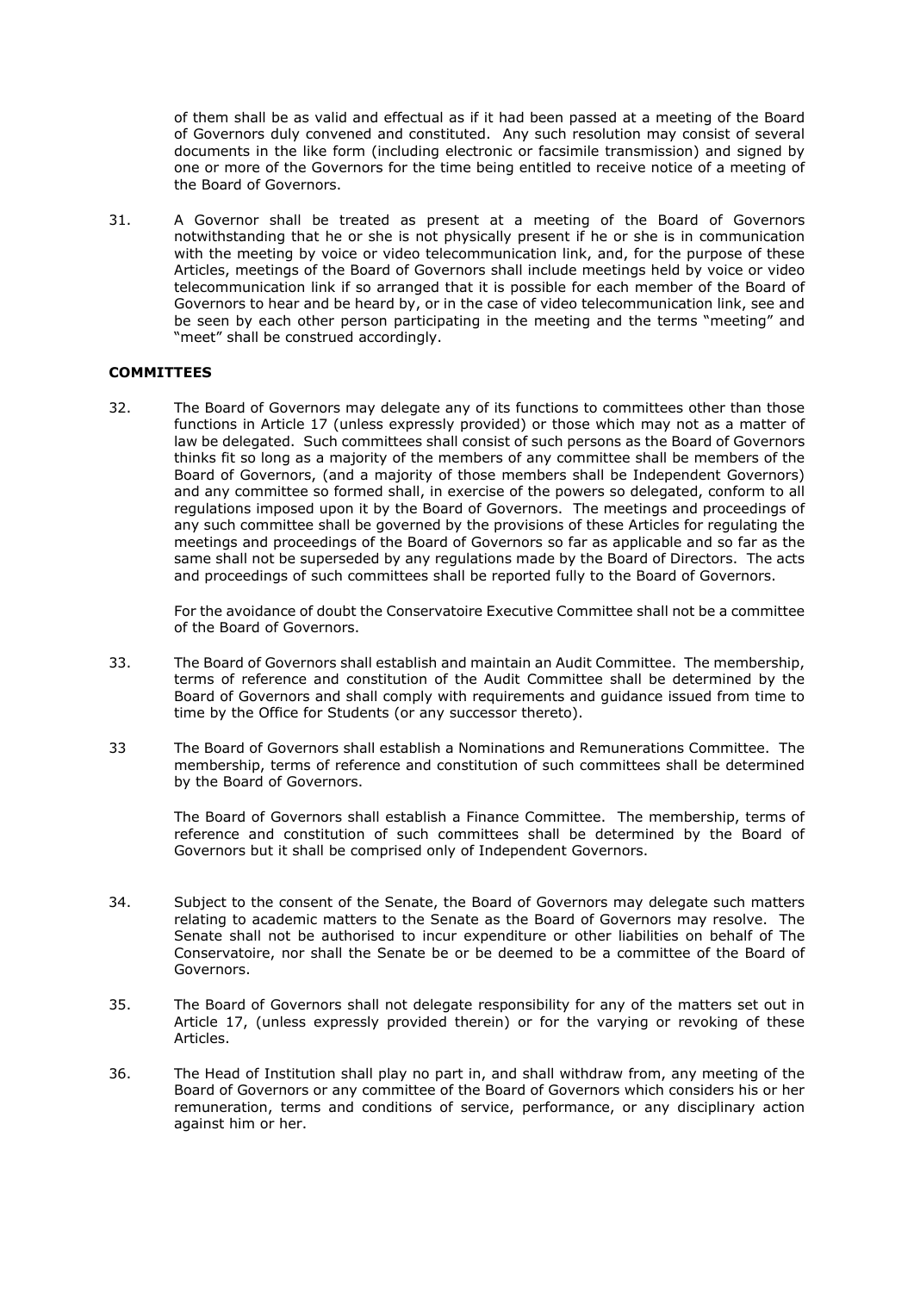of them shall be as valid and effectual as if it had been passed at a meeting of the Board of Governors duly convened and constituted. Any such resolution may consist of several documents in the like form (including electronic or facsimile transmission) and signed by one or more of the Governors for the time being entitled to receive notice of a meeting of the Board of Governors.

31. A Governor shall be treated as present at a meeting of the Board of Governors notwithstanding that he or she is not physically present if he or she is in communication with the meeting by voice or video telecommunication link, and, for the purpose of these Articles, meetings of the Board of Governors shall include meetings held by voice or video telecommunication link if so arranged that it is possible for each member of the Board of Governors to hear and be heard by, or in the case of video telecommunication link, see and be seen by each other person participating in the meeting and the terms "meeting" and "meet" shall be construed accordingly.

## **COMMITTEES**

32. The Board of Governors may delegate any of its functions to committees other than those functions in Article 17 (unless expressly provided) or those which may not as a matter of law be delegated. Such committees shall consist of such persons as the Board of Governors thinks fit so long as a majority of the members of any committee shall be members of the Board of Governors, (and a majority of those members shall be Independent Governors) and any committee so formed shall, in exercise of the powers so delegated, conform to all regulations imposed upon it by the Board of Governors. The meetings and proceedings of any such committee shall be governed by the provisions of these Articles for regulating the meetings and proceedings of the Board of Governors so far as applicable and so far as the same shall not be superseded by any regulations made by the Board of Directors. The acts and proceedings of such committees shall be reported fully to the Board of Governors.

For the avoidance of doubt the Conservatoire Executive Committee shall not be a committee of the Board of Governors.

- 33. The Board of Governors shall establish and maintain an Audit Committee. The membership, terms of reference and constitution of the Audit Committee shall be determined by the Board of Governors and shall comply with requirements and guidance issued from time to time by the Office for Students (or any successor thereto).
- 33 The Board of Governors shall establish a Nominations and Remunerations Committee. The membership, terms of reference and constitution of such committees shall be determined by the Board of Governors.

The Board of Governors shall establish a Finance Committee. The membership, terms of reference and constitution of such committees shall be determined by the Board of Governors but it shall be comprised only of Independent Governors.

- 34. Subject to the consent of the Senate, the Board of Governors may delegate such matters relating to academic matters to the Senate as the Board of Governors may resolve. The Senate shall not be authorised to incur expenditure or other liabilities on behalf of The Conservatoire, nor shall the Senate be or be deemed to be a committee of the Board of Governors.
- 35. The Board of Governors shall not delegate responsibility for any of the matters set out in Article 17, (unless expressly provided therein) or for the varying or revoking of these Articles.
- 36. The Head of Institution shall play no part in, and shall withdraw from, any meeting of the Board of Governors or any committee of the Board of Governors which considers his or her remuneration, terms and conditions of service, performance, or any disciplinary action against him or her.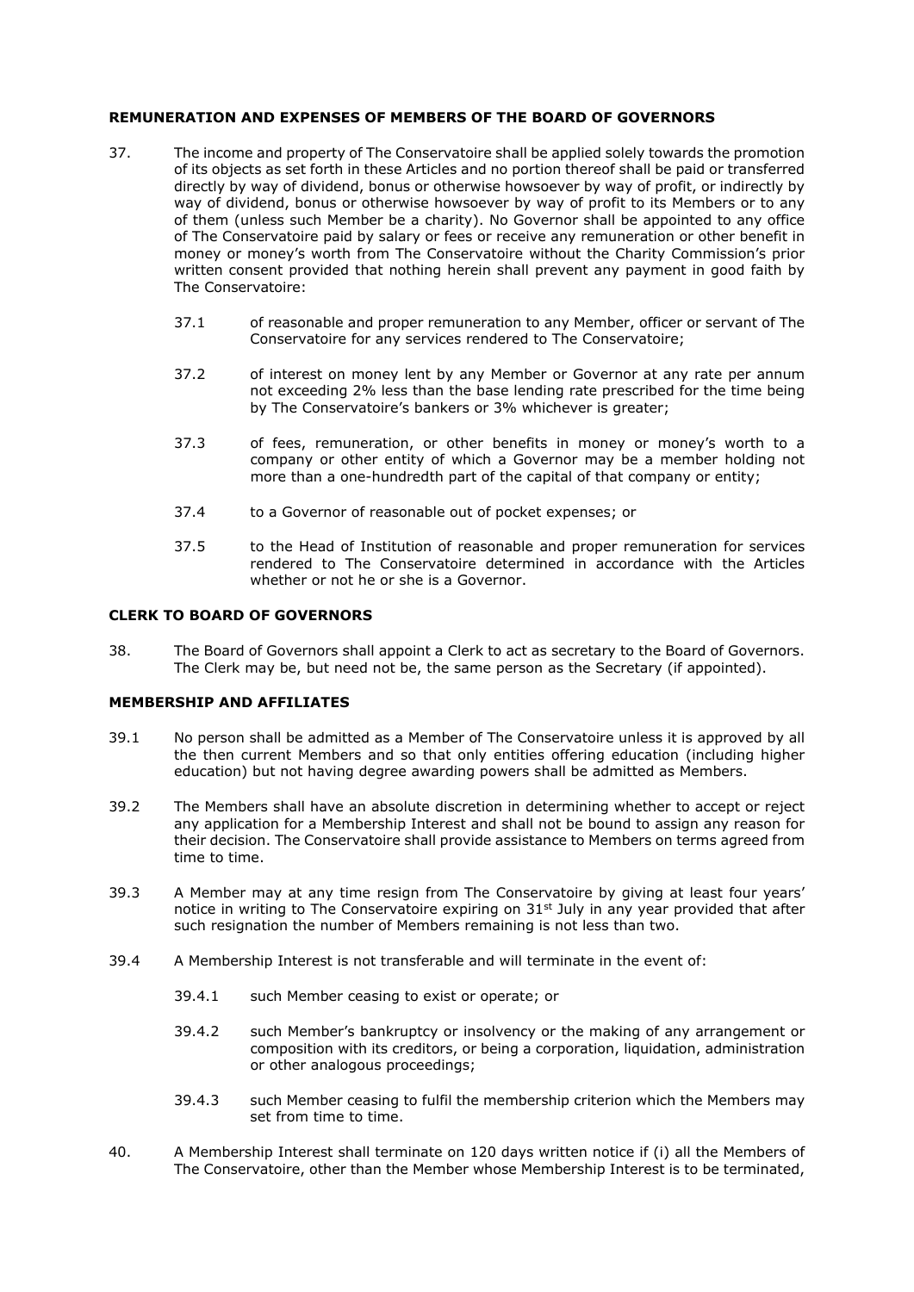## **REMUNERATION AND EXPENSES OF MEMBERS OF THE BOARD OF GOVERNORS**

- 37. The income and property of The Conservatoire shall be applied solely towards the promotion of its objects as set forth in these Articles and no portion thereof shall be paid or transferred directly by way of dividend, bonus or otherwise howsoever by way of profit, or indirectly by way of dividend, bonus or otherwise howsoever by way of profit to its Members or to any of them (unless such Member be a charity). No Governor shall be appointed to any office of The Conservatoire paid by salary or fees or receive any remuneration or other benefit in money or money's worth from The Conservatoire without the Charity Commission's prior written consent provided that nothing herein shall prevent any payment in good faith by The Conservatoire:
	- 37.1 of reasonable and proper remuneration to any Member, officer or servant of The Conservatoire for any services rendered to The Conservatoire;
	- 37.2 of interest on money lent by any Member or Governor at any rate per annum not exceeding 2% less than the base lending rate prescribed for the time being by The Conservatoire's bankers or 3% whichever is greater;
	- 37.3 of fees, remuneration, or other benefits in money or money's worth to a company or other entity of which a Governor may be a member holding not more than a one-hundredth part of the capital of that company or entity;
	- 37.4 to a Governor of reasonable out of pocket expenses; or
	- 37.5 to the Head of Institution of reasonable and proper remuneration for services rendered to The Conservatoire determined in accordance with the Articles whether or not he or she is a Governor.

#### **CLERK TO BOARD OF GOVERNORS**

38. The Board of Governors shall appoint a Clerk to act as secretary to the Board of Governors. The Clerk may be, but need not be, the same person as the Secretary (if appointed).

#### **MEMBERSHIP AND AFFILIATES**

- 39.1 No person shall be admitted as a Member of The Conservatoire unless it is approved by all the then current Members and so that only entities offering education (including higher education) but not having degree awarding powers shall be admitted as Members.
- 39.2 The Members shall have an absolute discretion in determining whether to accept or reject any application for a Membership Interest and shall not be bound to assign any reason for their decision. The Conservatoire shall provide assistance to Members on terms agreed from time to time.
- 39.3 A Member may at any time resign from The Conservatoire by giving at least four years' notice in writing to The Conservatoire expiring on 31<sup>st</sup> July in any year provided that after such resignation the number of Members remaining is not less than two.
- 39.4 A Membership Interest is not transferable and will terminate in the event of:
	- 39.4.1 such Member ceasing to exist or operate; or
	- 39.4.2 such Member's bankruptcy or insolvency or the making of any arrangement or composition with its creditors, or being a corporation, liquidation, administration or other analogous proceedings;
	- 39.4.3 such Member ceasing to fulfil the membership criterion which the Members may set from time to time.
- 40. A Membership Interest shall terminate on 120 days written notice if (i) all the Members of The Conservatoire, other than the Member whose Membership Interest is to be terminated,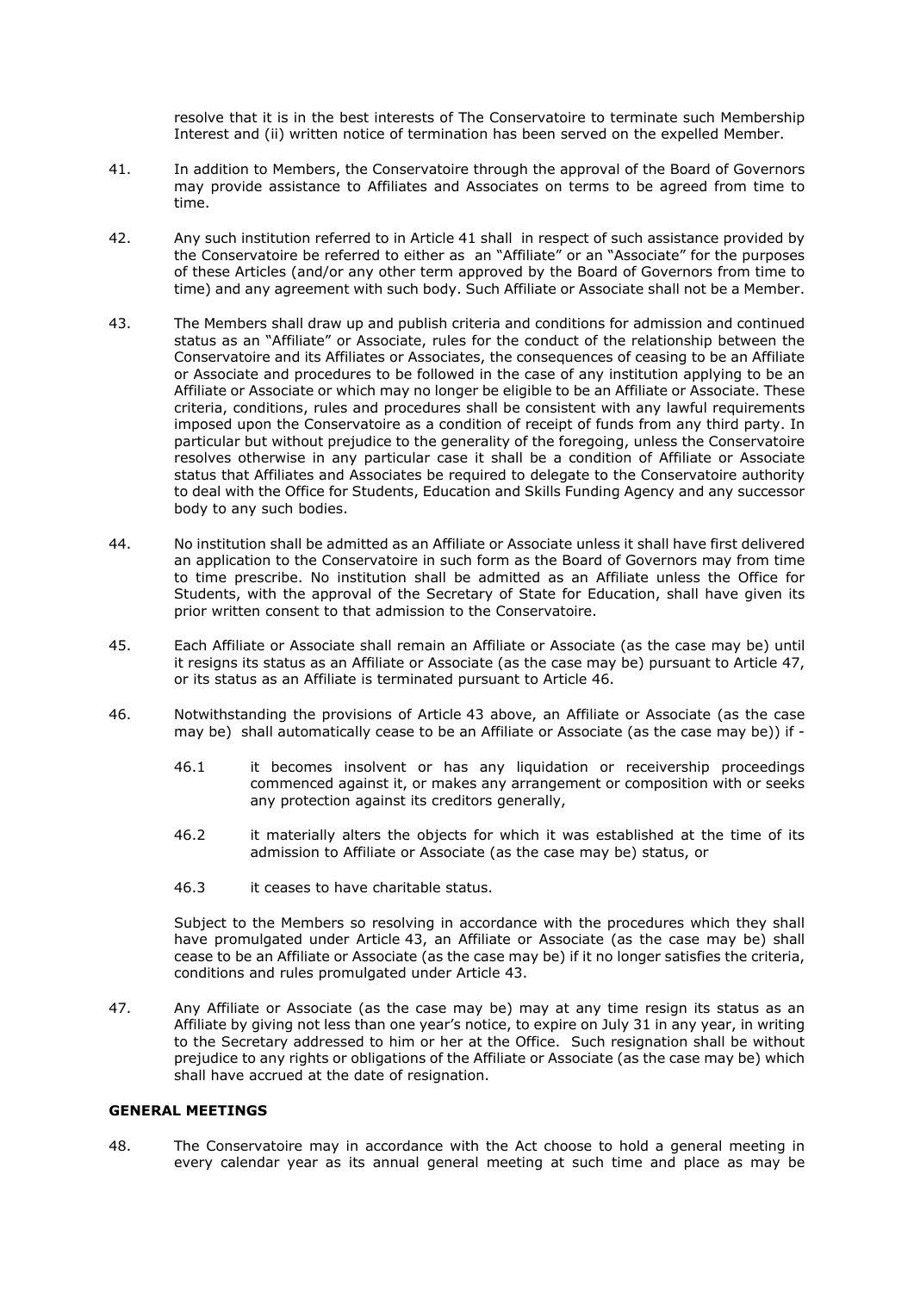resolve that it is in the best interests of The Conservatoire to terminate such Membership Interest and (ii) written notice of termination has been served on the expelled Member.

- 41. In addition to Members, the Conservatoire through the approval of the Board of Governors may provide assistance to Affiliates and Associates on terms to be agreed from time to time.
- 42. Any such institution referred to in Article 41 shall in respect of such assistance provided by the Conservatoire be referred to either as an "Affiliate" or an "Associate" for the purposes of these Articles (and/or any other term approved by the Board of Governors from time to time) and any agreement with such body. Such Affiliate or Associate shall not be a Member.
- 43. The Members shall draw up and publish criteria and conditions for admission and continued status as an "Affiliate" or Associate, rules for the conduct of the relationship between the Conservatoire and its Affiliates or Associates, the consequences of ceasing to be an Affiliate or Associate and procedures to be followed in the case of any institution applying to be an Affiliate or Associate or which may no longer be eligible to be an Affiliate or Associate. These criteria, conditions, rules and procedures shall be consistent with any lawful requirements imposed upon the Conservatoire as a condition of receipt of funds from any third party. In particular but without prejudice to the generality of the foregoing, unless the Conservatoire resolves otherwise in any particular case it shall be a condition of Affiliate or Associate status that Affiliates and Associates be required to delegate to the Conservatoire authority to deal with the Office for Students, Education and Skills Funding Agency and any successor body to any such bodies.
- 44. No institution shall be admitted as an Affiliate or Associate unless it shall have first delivered an application to the Conservatoire in such form as the Board of Governors may from time to time prescribe. No institution shall be admitted as an Affiliate unless the Office for Students, with the approval of the Secretary of State for Education, shall have given its prior written consent to that admission to the Conservatoire.
- 45. Each Affiliate or Associate shall remain an Affiliate or Associate (as the case may be) until it resigns its status as an Affiliate or Associate (as the case may be) pursuant to Article 47, or its status as an Affiliate is terminated pursuant to Article 46.
- 46. Notwithstanding the provisions of Article 43 above, an Affiliate or Associate (as the case may be) shall automatically cease to be an Affiliate or Associate (as the case may be)) if -
	- 46.1 it becomes insolvent or has any liquidation or receivership proceedings commenced against it, or makes any arrangement or composition with or seeks any protection against its creditors generally,
	- 46.2 it materially alters the objects for which it was established at the time of its admission to Affiliate or Associate (as the case may be) status, or
	- 46.3 it ceases to have charitable status.

Subject to the Members so resolving in accordance with the procedures which they shall have promulgated under Article 43, an Affiliate or Associate (as the case may be) shall cease to be an Affiliate or Associate (as the case may be) if it no longer satisfies the criteria, conditions and rules promulgated under Article 43.

47. Any Affiliate or Associate (as the case may be) may at any time resign its status as an Affiliate by giving not less than one year's notice, to expire on July 31 in any year, in writing to the Secretary addressed to him or her at the Office. Such resignation shall be without prejudice to any rights or obligations of the Affiliate or Associate (as the case may be) which shall have accrued at the date of resignation.

#### **GENERAL MEETINGS**

48. The Conservatoire may in accordance with the Act choose to hold a general meeting in every calendar year as its annual general meeting at such time and place as may be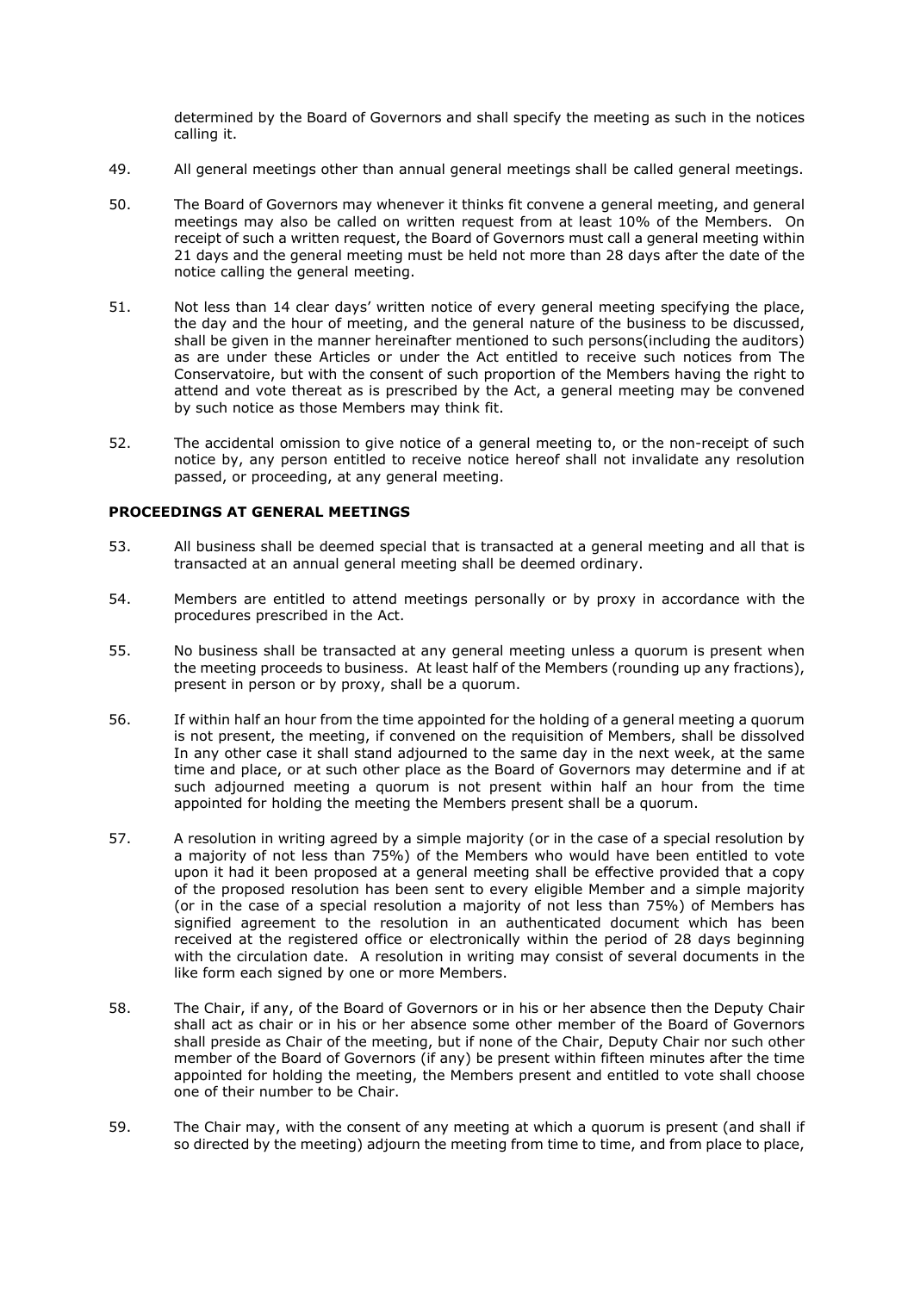determined by the Board of Governors and shall specify the meeting as such in the notices calling it.

- 49. All general meetings other than annual general meetings shall be called general meetings.
- 50. The Board of Governors may whenever it thinks fit convene a general meeting, and general meetings may also be called on written request from at least 10% of the Members. On receipt of such a written request, the Board of Governors must call a general meeting within 21 days and the general meeting must be held not more than 28 days after the date of the notice calling the general meeting.
- 51. Not less than 14 clear days' written notice of every general meeting specifying the place, the day and the hour of meeting, and the general nature of the business to be discussed, shall be given in the manner hereinafter mentioned to such persons(including the auditors) as are under these Articles or under the Act entitled to receive such notices from The Conservatoire, but with the consent of such proportion of the Members having the right to attend and vote thereat as is prescribed by the Act, a general meeting may be convened by such notice as those Members may think fit.
- 52. The accidental omission to give notice of a general meeting to, or the non-receipt of such notice by, any person entitled to receive notice hereof shall not invalidate any resolution passed, or proceeding, at any general meeting.

# **PROCEEDINGS AT GENERAL MEETINGS**

- 53. All business shall be deemed special that is transacted at a general meeting and all that is transacted at an annual general meeting shall be deemed ordinary.
- 54. Members are entitled to attend meetings personally or by proxy in accordance with the procedures prescribed in the Act.
- 55. No business shall be transacted at any general meeting unless a quorum is present when the meeting proceeds to business. At least half of the Members (rounding up any fractions), present in person or by proxy, shall be a quorum.
- 56. If within half an hour from the time appointed for the holding of a general meeting a quorum is not present, the meeting, if convened on the requisition of Members, shall be dissolved In any other case it shall stand adjourned to the same day in the next week, at the same time and place, or at such other place as the Board of Governors may determine and if at such adjourned meeting a quorum is not present within half an hour from the time appointed for holding the meeting the Members present shall be a quorum.
- 57. A resolution in writing agreed by a simple majority (or in the case of a special resolution by a majority of not less than 75%) of the Members who would have been entitled to vote upon it had it been proposed at a general meeting shall be effective provided that a copy of the proposed resolution has been sent to every eligible Member and a simple majority (or in the case of a special resolution a majority of not less than 75%) of Members has signified agreement to the resolution in an authenticated document which has been received at the registered office or electronically within the period of 28 days beginning with the circulation date. A resolution in writing may consist of several documents in the like form each signed by one or more Members.
- 58. The Chair, if any, of the Board of Governors or in his or her absence then the Deputy Chair shall act as chair or in his or her absence some other member of the Board of Governors shall preside as Chair of the meeting, but if none of the Chair, Deputy Chair nor such other member of the Board of Governors (if any) be present within fifteen minutes after the time appointed for holding the meeting, the Members present and entitled to vote shall choose one of their number to be Chair.
- 59. The Chair may, with the consent of any meeting at which a quorum is present (and shall if so directed by the meeting) adjourn the meeting from time to time, and from place to place,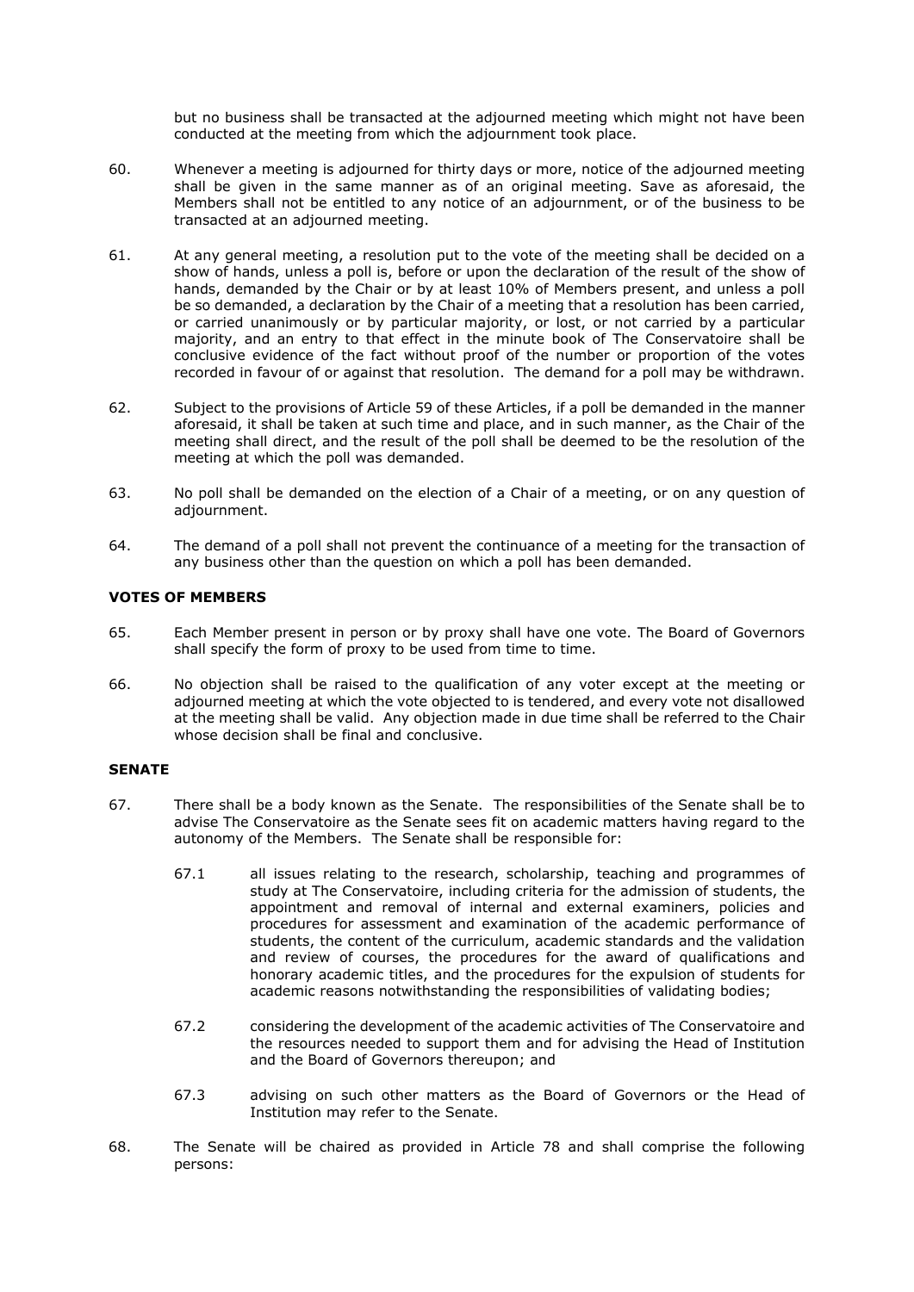but no business shall be transacted at the adjourned meeting which might not have been conducted at the meeting from which the adjournment took place.

- 60. Whenever a meeting is adjourned for thirty days or more, notice of the adjourned meeting shall be given in the same manner as of an original meeting. Save as aforesaid, the Members shall not be entitled to any notice of an adjournment, or of the business to be transacted at an adjourned meeting.
- 61. At any general meeting, a resolution put to the vote of the meeting shall be decided on a show of hands, unless a poll is, before or upon the declaration of the result of the show of hands, demanded by the Chair or by at least 10% of Members present, and unless a poll be so demanded, a declaration by the Chair of a meeting that a resolution has been carried, or carried unanimously or by particular majority, or lost, or not carried by a particular majority, and an entry to that effect in the minute book of The Conservatoire shall be conclusive evidence of the fact without proof of the number or proportion of the votes recorded in favour of or against that resolution. The demand for a poll may be withdrawn.
- 62. Subject to the provisions of Article 59 of these Articles, if a poll be demanded in the manner aforesaid, it shall be taken at such time and place, and in such manner, as the Chair of the meeting shall direct, and the result of the poll shall be deemed to be the resolution of the meeting at which the poll was demanded.
- 63. No poll shall be demanded on the election of a Chair of a meeting, or on any question of adjournment.
- 64. The demand of a poll shall not prevent the continuance of a meeting for the transaction of any business other than the question on which a poll has been demanded.

# **VOTES OF MEMBERS**

- 65. Each Member present in person or by proxy shall have one vote. The Board of Governors shall specify the form of proxy to be used from time to time.
- 66. No objection shall be raised to the qualification of any voter except at the meeting or adjourned meeting at which the vote objected to is tendered, and every vote not disallowed at the meeting shall be valid. Any objection made in due time shall be referred to the Chair whose decision shall be final and conclusive.

## **SENATE**

- 67. There shall be a body known as the Senate. The responsibilities of the Senate shall be to advise The Conservatoire as the Senate sees fit on academic matters having regard to the autonomy of the Members. The Senate shall be responsible for:
	- 67.1 all issues relating to the research, scholarship, teaching and programmes of study at The Conservatoire, including criteria for the admission of students, the appointment and removal of internal and external examiners, policies and procedures for assessment and examination of the academic performance of students, the content of the curriculum, academic standards and the validation and review of courses, the procedures for the award of qualifications and honorary academic titles, and the procedures for the expulsion of students for academic reasons notwithstanding the responsibilities of validating bodies;
	- 67.2 considering the development of the academic activities of The Conservatoire and the resources needed to support them and for advising the Head of Institution and the Board of Governors thereupon; and
	- 67.3 advising on such other matters as the Board of Governors or the Head of Institution may refer to the Senate.
- 68. The Senate will be chaired as provided in Article 78 and shall comprise the following persons: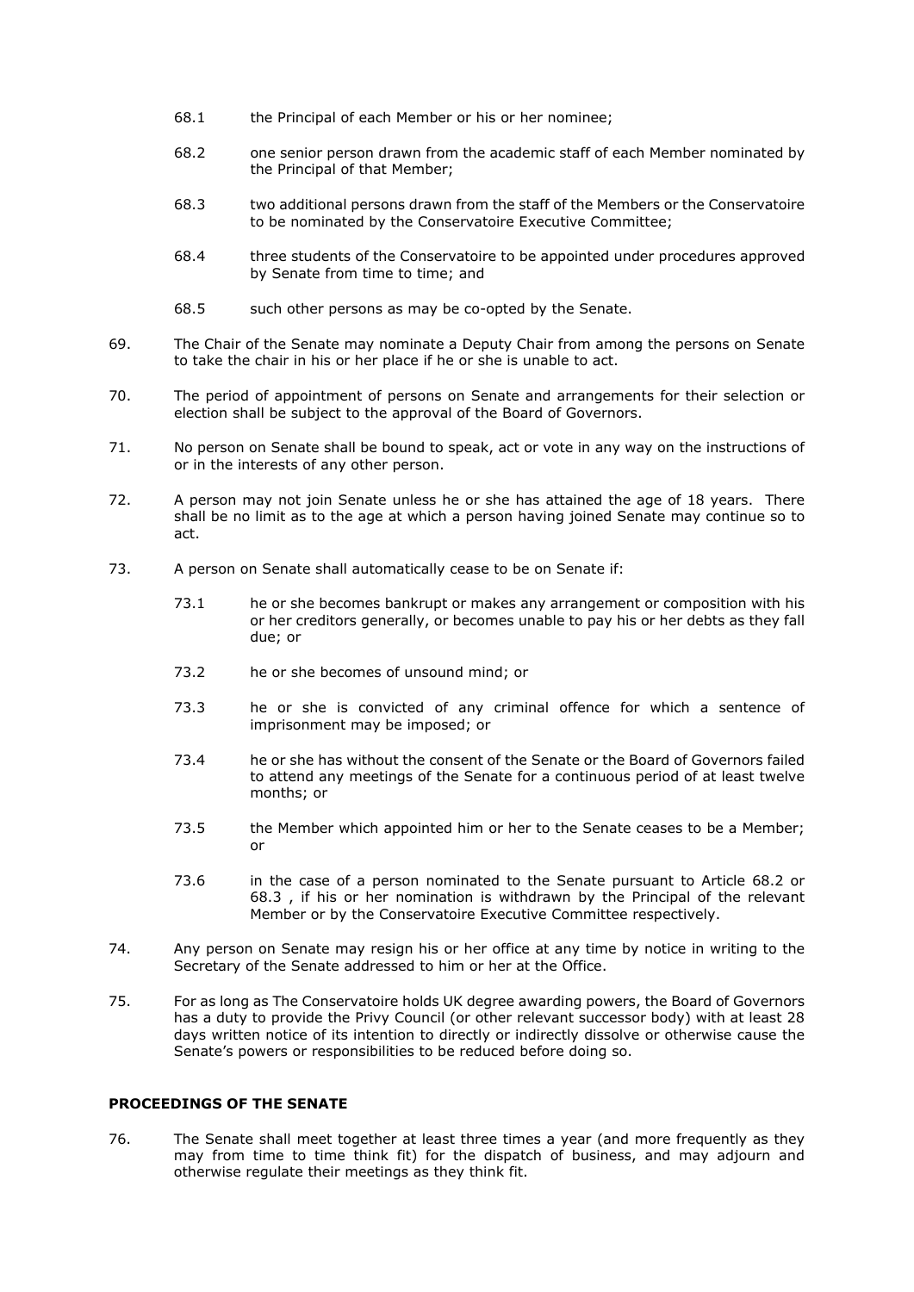- 68.1 the Principal of each Member or his or her nominee;
- 68.2 one senior person drawn from the academic staff of each Member nominated by the Principal of that Member;
- 68.3 two additional persons drawn from the staff of the Members or the Conservatoire to be nominated by the Conservatoire Executive Committee;
- 68.4 three students of the Conservatoire to be appointed under procedures approved by Senate from time to time; and
- 68.5 such other persons as may be co-opted by the Senate.
- 69. The Chair of the Senate may nominate a Deputy Chair from among the persons on Senate to take the chair in his or her place if he or she is unable to act.
- 70. The period of appointment of persons on Senate and arrangements for their selection or election shall be subject to the approval of the Board of Governors.
- 71. No person on Senate shall be bound to speak, act or vote in any way on the instructions of or in the interests of any other person.
- 72. A person may not join Senate unless he or she has attained the age of 18 years. There shall be no limit as to the age at which a person having joined Senate may continue so to act.
- 73. A person on Senate shall automatically cease to be on Senate if:
	- 73.1 he or she becomes bankrupt or makes any arrangement or composition with his or her creditors generally, or becomes unable to pay his or her debts as they fall due; or
	- 73.2 he or she becomes of unsound mind; or
	- 73.3 he or she is convicted of any criminal offence for which a sentence of imprisonment may be imposed; or
	- 73.4 he or she has without the consent of the Senate or the Board of Governors failed to attend any meetings of the Senate for a continuous period of at least twelve months; or
	- 73.5 the Member which appointed him or her to the Senate ceases to be a Member; or
	- 73.6 in the case of a person nominated to the Senate pursuant to Article 68.2 or 68.3 , if his or her nomination is withdrawn by the Principal of the relevant Member or by the Conservatoire Executive Committee respectively.
- 74. Any person on Senate may resign his or her office at any time by notice in writing to the Secretary of the Senate addressed to him or her at the Office.
- 75. For as long as The Conservatoire holds UK degree awarding powers, the Board of Governors has a duty to provide the Privy Council (or other relevant successor body) with at least 28 days written notice of its intention to directly or indirectly dissolve or otherwise cause the Senate's powers or responsibilities to be reduced before doing so.

# **PROCEEDINGS OF THE SENATE**

76. The Senate shall meet together at least three times a year (and more frequently as they may from time to time think fit) for the dispatch of business, and may adjourn and otherwise regulate their meetings as they think fit.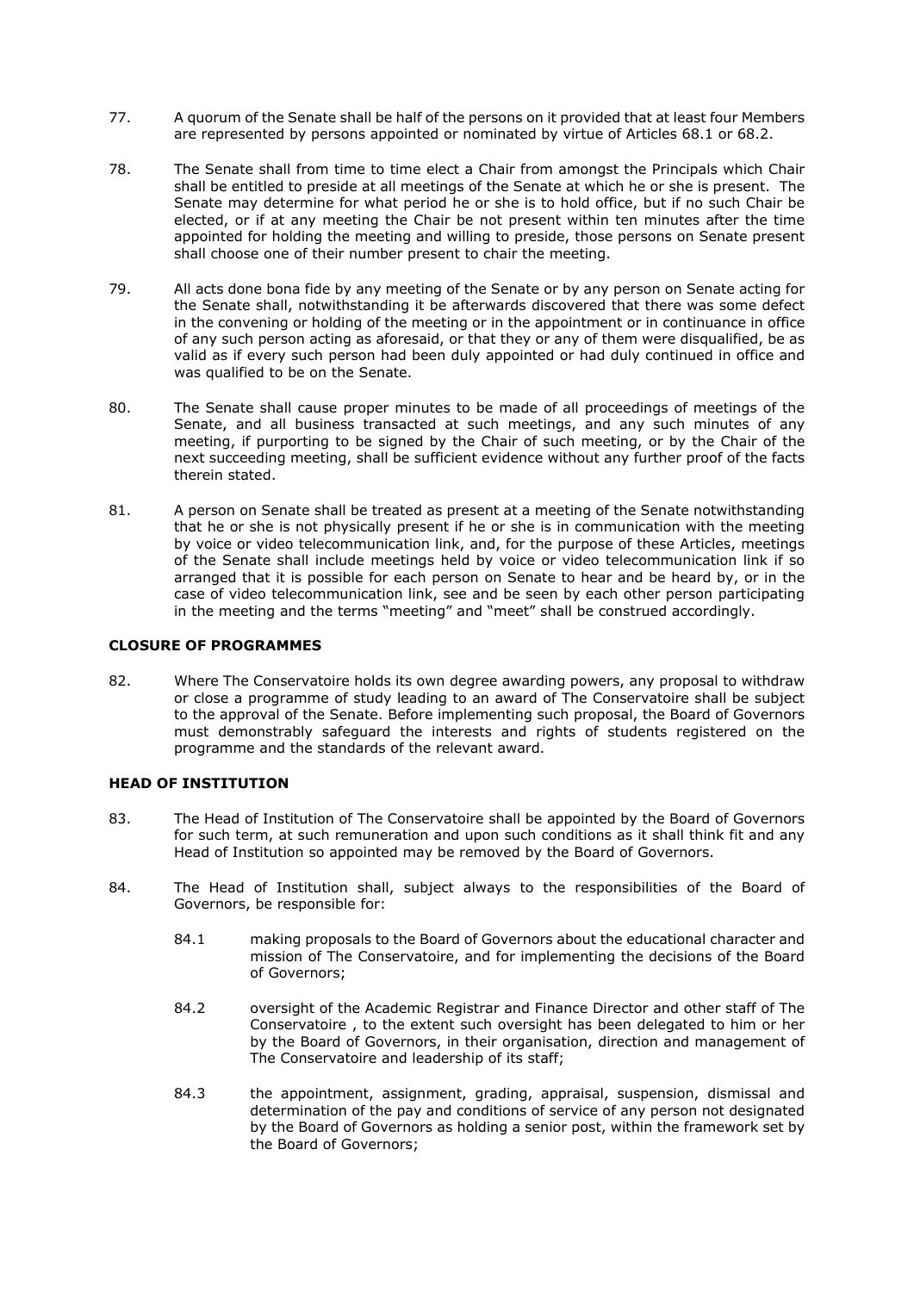- 77. A quorum of the Senate shall be half of the persons on it provided that at least four Members are represented by persons appointed or nominated by virtue of Articles 68.1 or 68.2.
- 78. The Senate shall from time to time elect a Chair from amongst the Principals which Chair shall be entitled to preside at all meetings of the Senate at which he or she is present. The Senate may determine for what period he or she is to hold office, but if no such Chair be elected, or if at any meeting the Chair be not present within ten minutes after the time appointed for holding the meeting and willing to preside, those persons on Senate present shall choose one of their number present to chair the meeting.
- 79. All acts done bona fide by any meeting of the Senate or by any person on Senate acting for the Senate shall, notwithstanding it be afterwards discovered that there was some defect in the convening or holding of the meeting or in the appointment or in continuance in office of any such person acting as aforesaid, or that they or any of them were disqualified, be as valid as if every such person had been duly appointed or had duly continued in office and was qualified to be on the Senate.
- 80. The Senate shall cause proper minutes to be made of all proceedings of meetings of the Senate, and all business transacted at such meetings, and any such minutes of any meeting, if purporting to be signed by the Chair of such meeting, or by the Chair of the next succeeding meeting, shall be sufficient evidence without any further proof of the facts therein stated.
- 81. A person on Senate shall be treated as present at a meeting of the Senate notwithstanding that he or she is not physically present if he or she is in communication with the meeting by voice or video telecommunication link, and, for the purpose of these Articles, meetings of the Senate shall include meetings held by voice or video telecommunication link if so arranged that it is possible for each person on Senate to hear and be heard by, or in the case of video telecommunication link, see and be seen by each other person participating in the meeting and the terms "meeting" and "meet" shall be construed accordingly.

## **CLOSURE OF PROGRAMMES**

82. Where The Conservatoire holds its own degree awarding powers, any proposal to withdraw or close a programme of study leading to an award of The Conservatoire shall be subject to the approval of the Senate. Before implementing such proposal, the Board of Governors must demonstrably safeguard the interests and rights of students registered on the programme and the standards of the relevant award.

## **HEAD OF INSTITUTION**

- 83. The Head of Institution of The Conservatoire shall be appointed by the Board of Governors for such term, at such remuneration and upon such conditions as it shall think fit and any Head of Institution so appointed may be removed by the Board of Governors.
- 84. The Head of Institution shall, subject always to the responsibilities of the Board of Governors, be responsible for:
	- 84.1 making proposals to the Board of Governors about the educational character and mission of The Conservatoire, and for implementing the decisions of the Board of Governors;
	- 84.2 oversight of the Academic Registrar and Finance Director and other staff of The Conservatoire , to the extent such oversight has been delegated to him or her by the Board of Governors, in their organisation, direction and management of The Conservatoire and leadership of its staff;
	- 84.3 the appointment, assignment, grading, appraisal, suspension, dismissal and determination of the pay and conditions of service of any person not designated by the Board of Governors as holding a senior post, within the framework set by the Board of Governors;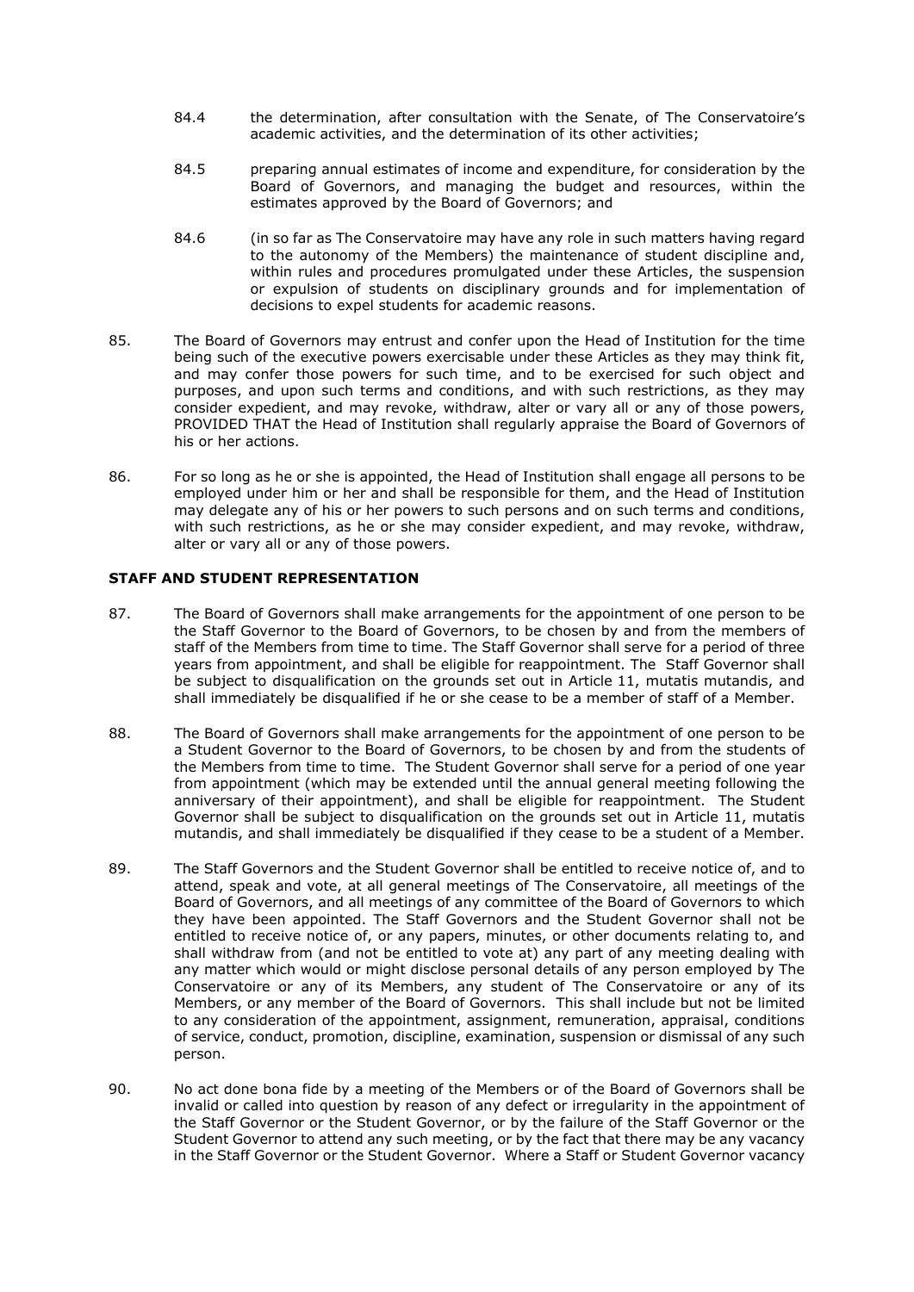- 84.4 the determination, after consultation with the Senate, of The Conservatoire's academic activities, and the determination of its other activities;
- 84.5 preparing annual estimates of income and expenditure, for consideration by the Board of Governors, and managing the budget and resources, within the estimates approved by the Board of Governors; and
- 84.6 (in so far as The Conservatoire may have any role in such matters having regard to the autonomy of the Members) the maintenance of student discipline and, within rules and procedures promulgated under these Articles, the suspension or expulsion of students on disciplinary grounds and for implementation of decisions to expel students for academic reasons.
- 85. The Board of Governors may entrust and confer upon the Head of Institution for the time being such of the executive powers exercisable under these Articles as they may think fit, and may confer those powers for such time, and to be exercised for such object and purposes, and upon such terms and conditions, and with such restrictions, as they may consider expedient, and may revoke, withdraw, alter or vary all or any of those powers, PROVIDED THAT the Head of Institution shall regularly appraise the Board of Governors of his or her actions.
- 86. For so long as he or she is appointed, the Head of Institution shall engage all persons to be employed under him or her and shall be responsible for them, and the Head of Institution may delegate any of his or her powers to such persons and on such terms and conditions, with such restrictions, as he or she may consider expedient, and may revoke, withdraw, alter or vary all or any of those powers.

## **STAFF AND STUDENT REPRESENTATION**

- 87. The Board of Governors shall make arrangements for the appointment of one person to be the Staff Governor to the Board of Governors, to be chosen by and from the members of staff of the Members from time to time. The Staff Governor shall serve for a period of three years from appointment, and shall be eligible for reappointment. The Staff Governor shall be subject to disqualification on the grounds set out in Article 11, mutatis mutandis, and shall immediately be disqualified if he or she cease to be a member of staff of a Member.
- 88. The Board of Governors shall make arrangements for the appointment of one person to be a Student Governor to the Board of Governors, to be chosen by and from the students of the Members from time to time. The Student Governor shall serve for a period of one year from appointment (which may be extended until the annual general meeting following the anniversary of their appointment), and shall be eligible for reappointment. The Student Governor shall be subject to disqualification on the grounds set out in Article 11, mutatis mutandis, and shall immediately be disqualified if they cease to be a student of a Member.
- 89. The Staff Governors and the Student Governor shall be entitled to receive notice of, and to attend, speak and vote, at all general meetings of The Conservatoire, all meetings of the Board of Governors, and all meetings of any committee of the Board of Governors to which they have been appointed. The Staff Governors and the Student Governor shall not be entitled to receive notice of, or any papers, minutes, or other documents relating to, and shall withdraw from (and not be entitled to vote at) any part of any meeting dealing with any matter which would or might disclose personal details of any person employed by The Conservatoire or any of its Members, any student of The Conservatoire or any of its Members, or any member of the Board of Governors. This shall include but not be limited to any consideration of the appointment, assignment, remuneration, appraisal, conditions of service, conduct, promotion, discipline, examination, suspension or dismissal of any such person.
- 90. No act done bona fide by a meeting of the Members or of the Board of Governors shall be invalid or called into question by reason of any defect or irregularity in the appointment of the Staff Governor or the Student Governor, or by the failure of the Staff Governor or the Student Governor to attend any such meeting, or by the fact that there may be any vacancy in the Staff Governor or the Student Governor. Where a Staff or Student Governor vacancy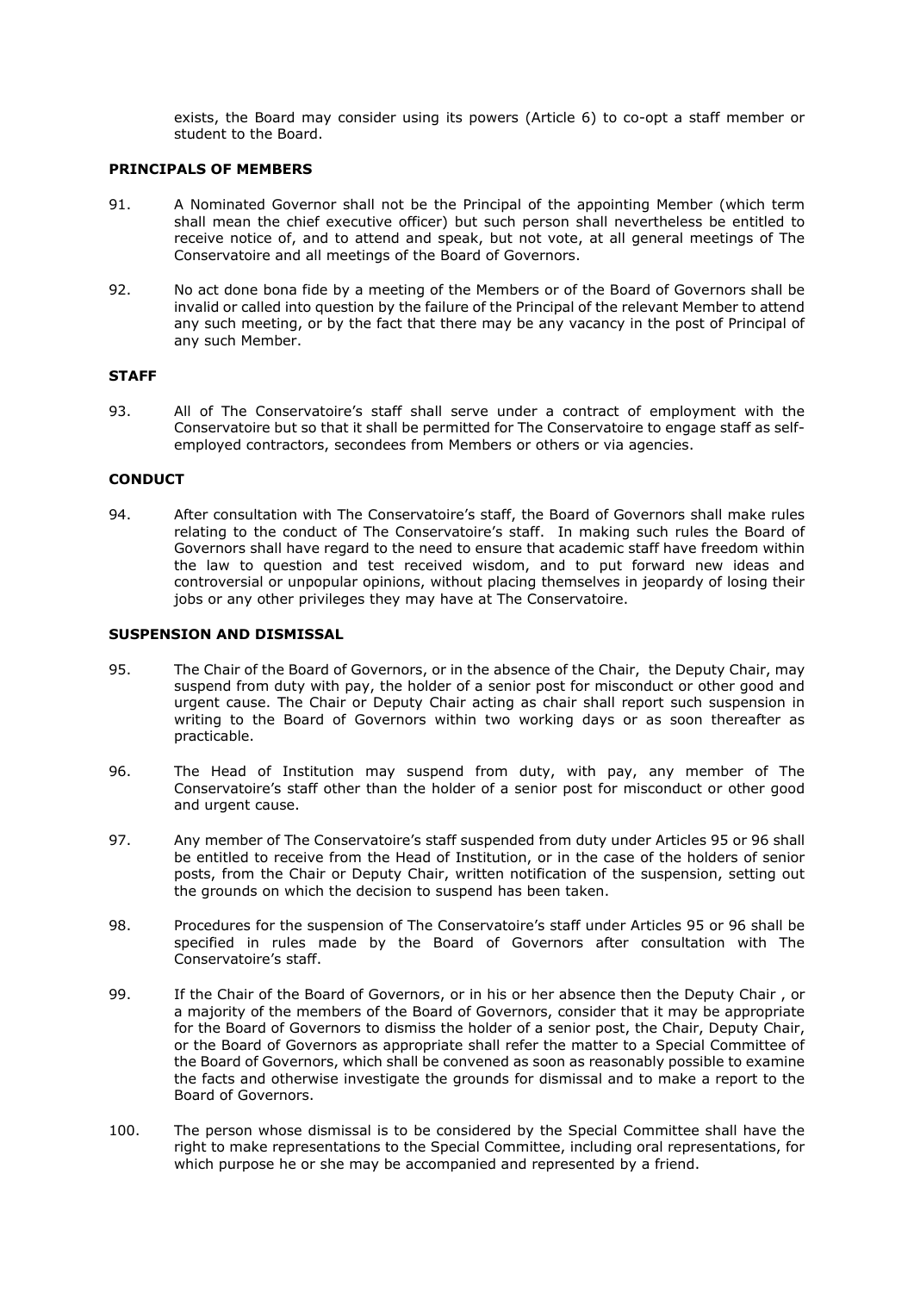exists, the Board may consider using its powers (Article 6) to co-opt a staff member or student to the Board.

#### **PRINCIPALS OF MEMBERS**

- 91. A Nominated Governor shall not be the Principal of the appointing Member (which term shall mean the chief executive officer) but such person shall nevertheless be entitled to receive notice of, and to attend and speak, but not vote, at all general meetings of The Conservatoire and all meetings of the Board of Governors.
- 92. No act done bona fide by a meeting of the Members or of the Board of Governors shall be invalid or called into question by the failure of the Principal of the relevant Member to attend any such meeting, or by the fact that there may be any vacancy in the post of Principal of any such Member.

#### **STAFF**

93. All of The Conservatoire's staff shall serve under a contract of employment with the Conservatoire but so that it shall be permitted for The Conservatoire to engage staff as selfemployed contractors, secondees from Members or others or via agencies.

#### **CONDUCT**

94. After consultation with The Conservatoire's staff, the Board of Governors shall make rules relating to the conduct of The Conservatoire's staff. In making such rules the Board of Governors shall have regard to the need to ensure that academic staff have freedom within the law to question and test received wisdom, and to put forward new ideas and controversial or unpopular opinions, without placing themselves in jeopardy of losing their jobs or any other privileges they may have at The Conservatoire.

## **SUSPENSION AND DISMISSAL**

- 95. The Chair of the Board of Governors, or in the absence of the Chair, the Deputy Chair, may suspend from duty with pay, the holder of a senior post for misconduct or other good and urgent cause. The Chair or Deputy Chair acting as chair shall report such suspension in writing to the Board of Governors within two working days or as soon thereafter as practicable.
- 96. The Head of Institution may suspend from duty, with pay, any member of The Conservatoire's staff other than the holder of a senior post for misconduct or other good and urgent cause.
- 97. Any member of The Conservatoire's staff suspended from duty under Articles 95 or 96 shall be entitled to receive from the Head of Institution, or in the case of the holders of senior posts, from the Chair or Deputy Chair, written notification of the suspension, setting out the grounds on which the decision to suspend has been taken.
- 98. Procedures for the suspension of The Conservatoire's staff under Articles 95 or 96 shall be specified in rules made by the Board of Governors after consultation with The Conservatoire's staff.
- 99. If the Chair of the Board of Governors, or in his or her absence then the Deputy Chair , or a majority of the members of the Board of Governors, consider that it may be appropriate for the Board of Governors to dismiss the holder of a senior post, the Chair, Deputy Chair, or the Board of Governors as appropriate shall refer the matter to a Special Committee of the Board of Governors, which shall be convened as soon as reasonably possible to examine the facts and otherwise investigate the grounds for dismissal and to make a report to the Board of Governors.
- 100. The person whose dismissal is to be considered by the Special Committee shall have the right to make representations to the Special Committee, including oral representations, for which purpose he or she may be accompanied and represented by a friend.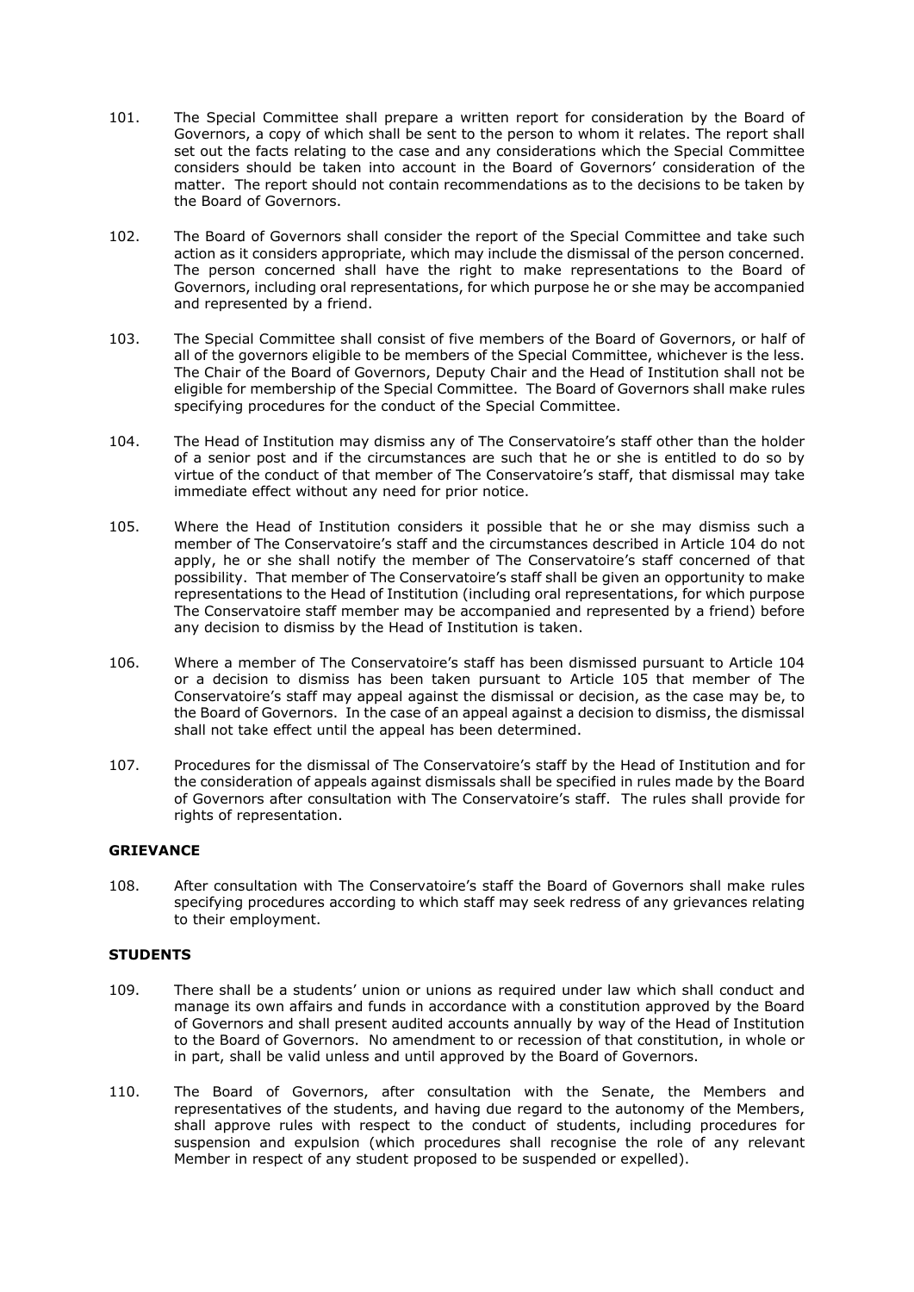- 101. The Special Committee shall prepare a written report for consideration by the Board of Governors, a copy of which shall be sent to the person to whom it relates. The report shall set out the facts relating to the case and any considerations which the Special Committee considers should be taken into account in the Board of Governors' consideration of the matter. The report should not contain recommendations as to the decisions to be taken by the Board of Governors.
- 102. The Board of Governors shall consider the report of the Special Committee and take such action as it considers appropriate, which may include the dismissal of the person concerned. The person concerned shall have the right to make representations to the Board of Governors, including oral representations, for which purpose he or she may be accompanied and represented by a friend.
- 103. The Special Committee shall consist of five members of the Board of Governors, or half of all of the governors eligible to be members of the Special Committee, whichever is the less. The Chair of the Board of Governors, Deputy Chair and the Head of Institution shall not be eligible for membership of the Special Committee. The Board of Governors shall make rules specifying procedures for the conduct of the Special Committee.
- 104. The Head of Institution may dismiss any of The Conservatoire's staff other than the holder of a senior post and if the circumstances are such that he or she is entitled to do so by virtue of the conduct of that member of The Conservatoire's staff, that dismissal may take immediate effect without any need for prior notice.
- 105. Where the Head of Institution considers it possible that he or she may dismiss such a member of The Conservatoire's staff and the circumstances described in Article 104 do not apply, he or she shall notify the member of The Conservatoire's staff concerned of that possibility. That member of The Conservatoire's staff shall be given an opportunity to make representations to the Head of Institution (including oral representations, for which purpose The Conservatoire staff member may be accompanied and represented by a friend) before any decision to dismiss by the Head of Institution is taken.
- 106. Where a member of The Conservatoire's staff has been dismissed pursuant to Article 104 or a decision to dismiss has been taken pursuant to Article 105 that member of The Conservatoire's staff may appeal against the dismissal or decision, as the case may be, to the Board of Governors. In the case of an appeal against a decision to dismiss, the dismissal shall not take effect until the appeal has been determined.
- 107. Procedures for the dismissal of The Conservatoire's staff by the Head of Institution and for the consideration of appeals against dismissals shall be specified in rules made by the Board of Governors after consultation with The Conservatoire's staff. The rules shall provide for rights of representation.

# **GRIEVANCE**

108. After consultation with The Conservatoire's staff the Board of Governors shall make rules specifying procedures according to which staff may seek redress of any grievances relating to their employment.

## **STUDENTS**

- 109. There shall be a students' union or unions as required under law which shall conduct and manage its own affairs and funds in accordance with a constitution approved by the Board of Governors and shall present audited accounts annually by way of the Head of Institution to the Board of Governors. No amendment to or recession of that constitution, in whole or in part, shall be valid unless and until approved by the Board of Governors.
- 110. The Board of Governors, after consultation with the Senate, the Members and representatives of the students, and having due regard to the autonomy of the Members, shall approve rules with respect to the conduct of students, including procedures for suspension and expulsion (which procedures shall recognise the role of any relevant Member in respect of any student proposed to be suspended or expelled).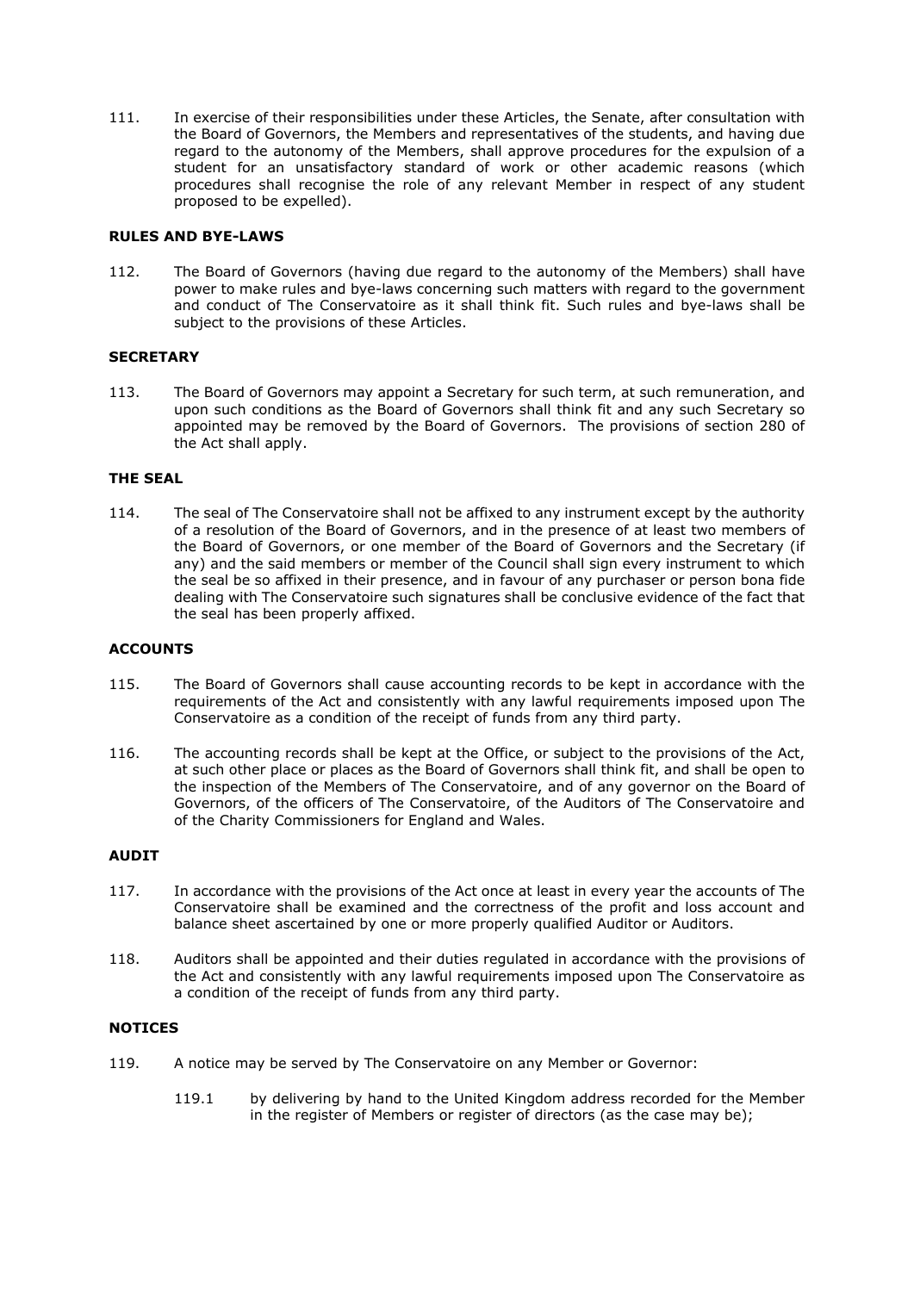111. In exercise of their responsibilities under these Articles, the Senate, after consultation with the Board of Governors, the Members and representatives of the students, and having due regard to the autonomy of the Members, shall approve procedures for the expulsion of a student for an unsatisfactory standard of work or other academic reasons (which procedures shall recognise the role of any relevant Member in respect of any student proposed to be expelled).

## **RULES AND BYE-LAWS**

112. The Board of Governors (having due regard to the autonomy of the Members) shall have power to make rules and bye-laws concerning such matters with regard to the government and conduct of The Conservatoire as it shall think fit. Such rules and bye-laws shall be subject to the provisions of these Articles.

## **SECRETARY**

113. The Board of Governors may appoint a Secretary for such term, at such remuneration, and upon such conditions as the Board of Governors shall think fit and any such Secretary so appointed may be removed by the Board of Governors. The provisions of section 280 of the Act shall apply.

## **THE SEAL**

114. The seal of The Conservatoire shall not be affixed to any instrument except by the authority of a resolution of the Board of Governors, and in the presence of at least two members of the Board of Governors, or one member of the Board of Governors and the Secretary (if any) and the said members or member of the Council shall sign every instrument to which the seal be so affixed in their presence, and in favour of any purchaser or person bona fide dealing with The Conservatoire such signatures shall be conclusive evidence of the fact that the seal has been properly affixed.

## **ACCOUNTS**

- 115. The Board of Governors shall cause accounting records to be kept in accordance with the requirements of the Act and consistently with any lawful requirements imposed upon The Conservatoire as a condition of the receipt of funds from any third party.
- 116. The accounting records shall be kept at the Office, or subject to the provisions of the Act, at such other place or places as the Board of Governors shall think fit, and shall be open to the inspection of the Members of The Conservatoire, and of any governor on the Board of Governors, of the officers of The Conservatoire, of the Auditors of The Conservatoire and of the Charity Commissioners for England and Wales.

# **AUDIT**

- 117. In accordance with the provisions of the Act once at least in every year the accounts of The Conservatoire shall be examined and the correctness of the profit and loss account and balance sheet ascertained by one or more properly qualified Auditor or Auditors.
- 118. Auditors shall be appointed and their duties regulated in accordance with the provisions of the Act and consistently with any lawful requirements imposed upon The Conservatoire as a condition of the receipt of funds from any third party.

## **NOTICES**

- 119. A notice may be served by The Conservatoire on any Member or Governor:
	- 119.1 by delivering by hand to the United Kingdom address recorded for the Member in the register of Members or register of directors (as the case may be);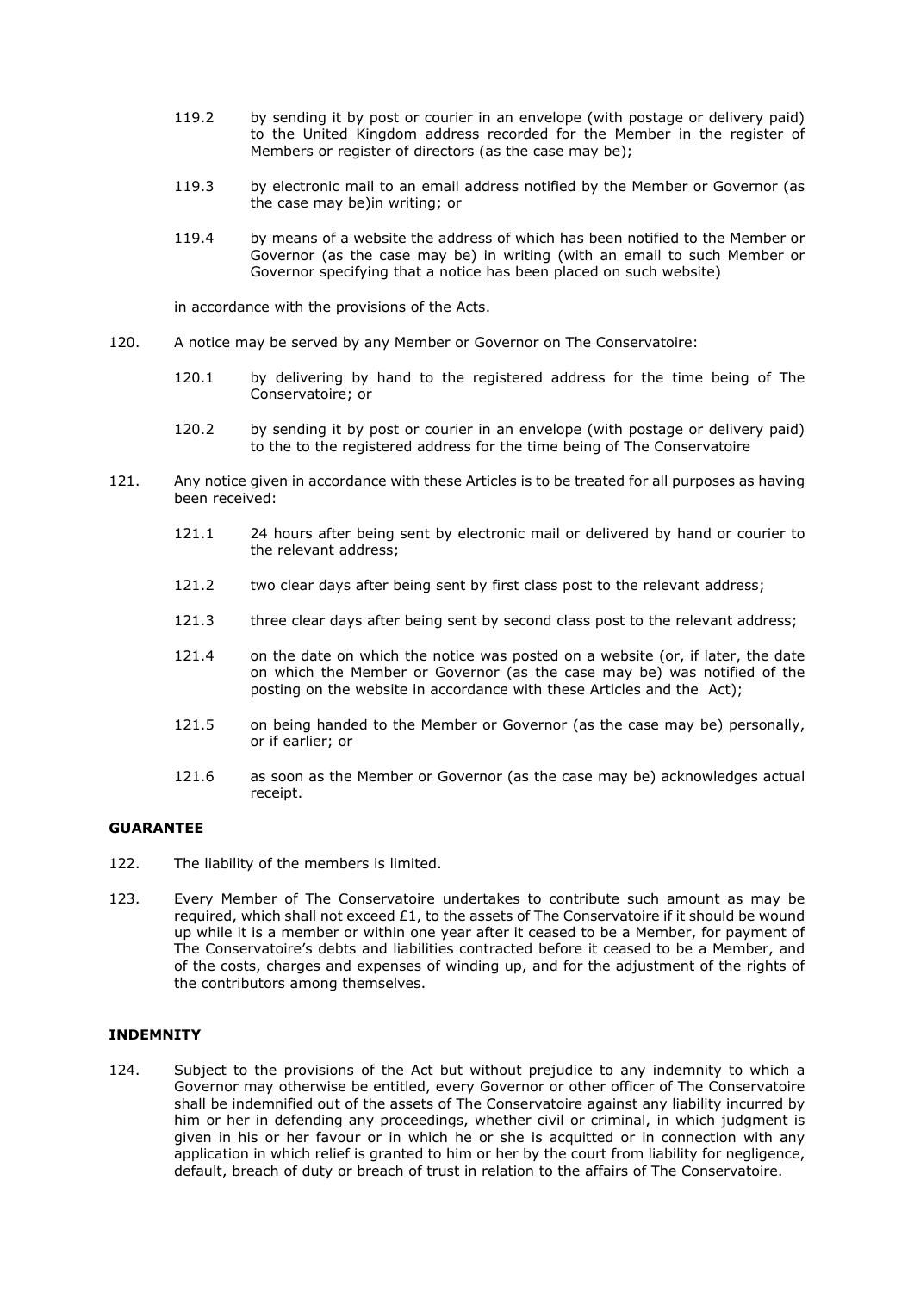- 119.2 by sending it by post or courier in an envelope (with postage or delivery paid) to the United Kingdom address recorded for the Member in the register of Members or register of directors (as the case may be);
- 119.3 by electronic mail to an email address notified by the Member or Governor (as the case may be)in writing; or
- 119.4 by means of a website the address of which has been notified to the Member or Governor (as the case may be) in writing (with an email to such Member or Governor specifying that a notice has been placed on such website)

in accordance with the provisions of the Acts.

- 120. A notice may be served by any Member or Governor on The Conservatoire:
	- 120.1 by delivering by hand to the registered address for the time being of The Conservatoire; or
	- 120.2 by sending it by post or courier in an envelope (with postage or delivery paid) to the to the registered address for the time being of The Conservatoire
- 121. Any notice given in accordance with these Articles is to be treated for all purposes as having been received:
	- 121.1 24 hours after being sent by electronic mail or delivered by hand or courier to the relevant address;
	- 121.2 two clear days after being sent by first class post to the relevant address;
	- 121.3 three clear days after being sent by second class post to the relevant address;
	- 121.4 on the date on which the notice was posted on a website (or, if later, the date on which the Member or Governor (as the case may be) was notified of the posting on the website in accordance with these Articles and the Act);
	- 121.5 on being handed to the Member or Governor (as the case may be) personally, or if earlier; or
	- 121.6 as soon as the Member or Governor (as the case may be) acknowledges actual receipt.

## **GUARANTEE**

- 122. The liability of the members is limited.
- 123. Every Member of The Conservatoire undertakes to contribute such amount as may be required, which shall not exceed  $£1$ , to the assets of The Conservatoire if it should be wound up while it is a member or within one year after it ceased to be a Member, for payment of The Conservatoire's debts and liabilities contracted before it ceased to be a Member, and of the costs, charges and expenses of winding up, and for the adjustment of the rights of the contributors among themselves.

## **INDEMNITY**

124. Subject to the provisions of the Act but without prejudice to any indemnity to which a Governor may otherwise be entitled, every Governor or other officer of The Conservatoire shall be indemnified out of the assets of The Conservatoire against any liability incurred by him or her in defending any proceedings, whether civil or criminal, in which judgment is given in his or her favour or in which he or she is acquitted or in connection with any application in which relief is granted to him or her by the court from liability for negligence, default, breach of duty or breach of trust in relation to the affairs of The Conservatoire.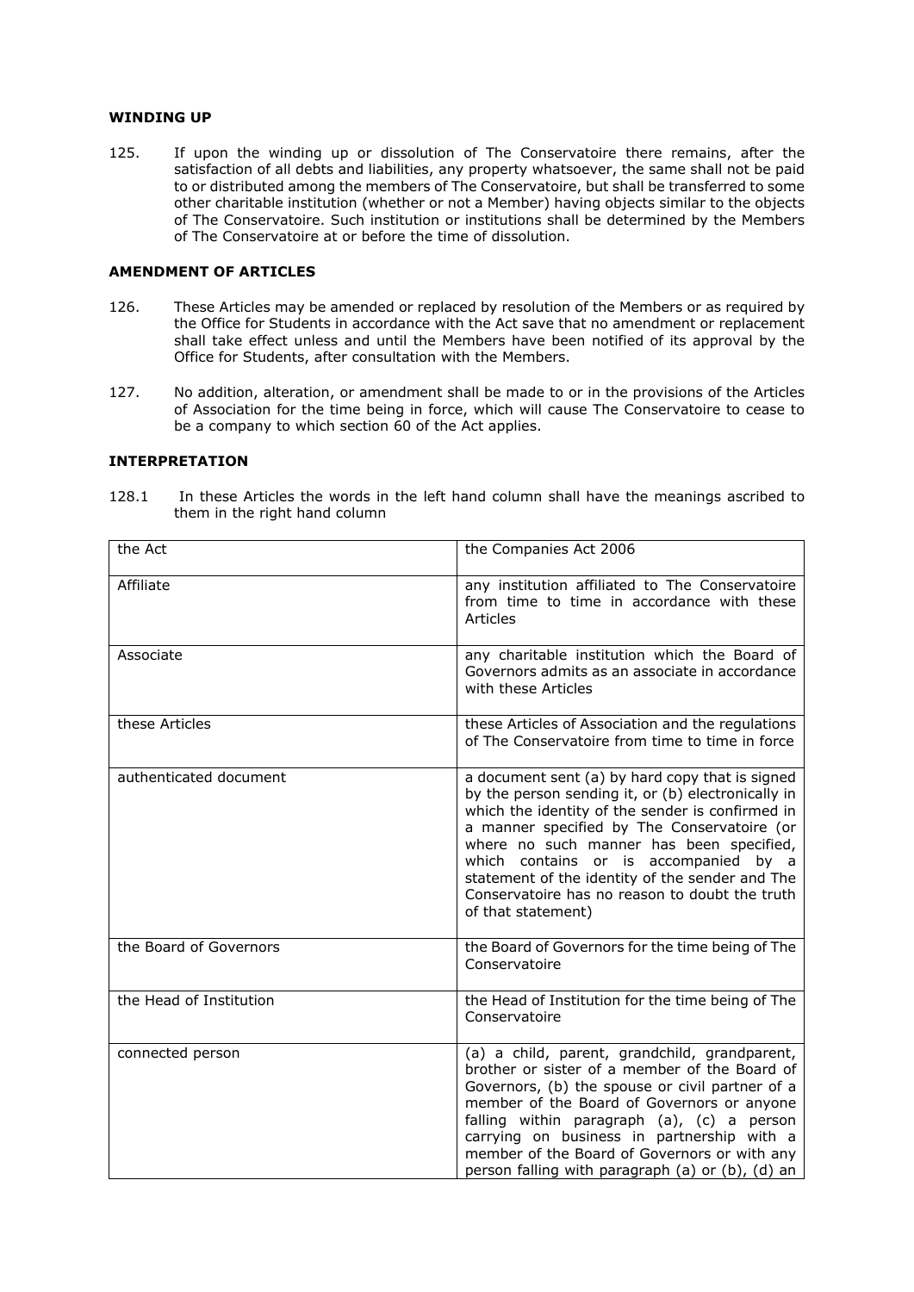## **WINDING UP**

125. If upon the winding up or dissolution of The Conservatoire there remains, after the satisfaction of all debts and liabilities, any property whatsoever, the same shall not be paid to or distributed among the members of The Conservatoire, but shall be transferred to some other charitable institution (whether or not a Member) having objects similar to the objects of The Conservatoire. Such institution or institutions shall be determined by the Members of The Conservatoire at or before the time of dissolution.

#### **AMENDMENT OF ARTICLES**

- 126. These Articles may be amended or replaced by resolution of the Members or as required by the Office for Students in accordance with the Act save that no amendment or replacement shall take effect unless and until the Members have been notified of its approval by the Office for Students, after consultation with the Members.
- 127. No addition, alteration, or amendment shall be made to or in the provisions of the Articles of Association for the time being in force, which will cause The Conservatoire to cease to be a company to which section 60 of the Act applies.

## **INTERPRETATION**

128.1 In these Articles the words in the left hand column shall have the meanings ascribed to them in the right hand column

| the Act                 | the Companies Act 2006                                                                                                                                                                                                                                                                                                                                                                                                   |
|-------------------------|--------------------------------------------------------------------------------------------------------------------------------------------------------------------------------------------------------------------------------------------------------------------------------------------------------------------------------------------------------------------------------------------------------------------------|
| Affiliate               | any institution affiliated to The Conservatoire<br>from time to time in accordance with these<br>Articles                                                                                                                                                                                                                                                                                                                |
| Associate               | any charitable institution which the Board of<br>Governors admits as an associate in accordance<br>with these Articles                                                                                                                                                                                                                                                                                                   |
| these Articles          | these Articles of Association and the regulations<br>of The Conservatoire from time to time in force                                                                                                                                                                                                                                                                                                                     |
| authenticated document  | a document sent (a) by hard copy that is signed<br>by the person sending it, or (b) electronically in<br>which the identity of the sender is confirmed in<br>a manner specified by The Conservatoire (or<br>where no such manner has been specified,<br>which contains or is accompanied by a<br>statement of the identity of the sender and The<br>Conservatoire has no reason to doubt the truth<br>of that statement) |
| the Board of Governors  | the Board of Governors for the time being of The<br>Conservatoire                                                                                                                                                                                                                                                                                                                                                        |
| the Head of Institution | the Head of Institution for the time being of The<br>Conservatoire                                                                                                                                                                                                                                                                                                                                                       |
| connected person        | (a) a child, parent, grandchild, grandparent,<br>brother or sister of a member of the Board of<br>Governors, (b) the spouse or civil partner of a<br>member of the Board of Governors or anyone<br>falling within paragraph (a), (c) a person<br>carrying on business in partnership with a<br>member of the Board of Governors or with any<br>person falling with paragraph (a) or (b), (d) an                          |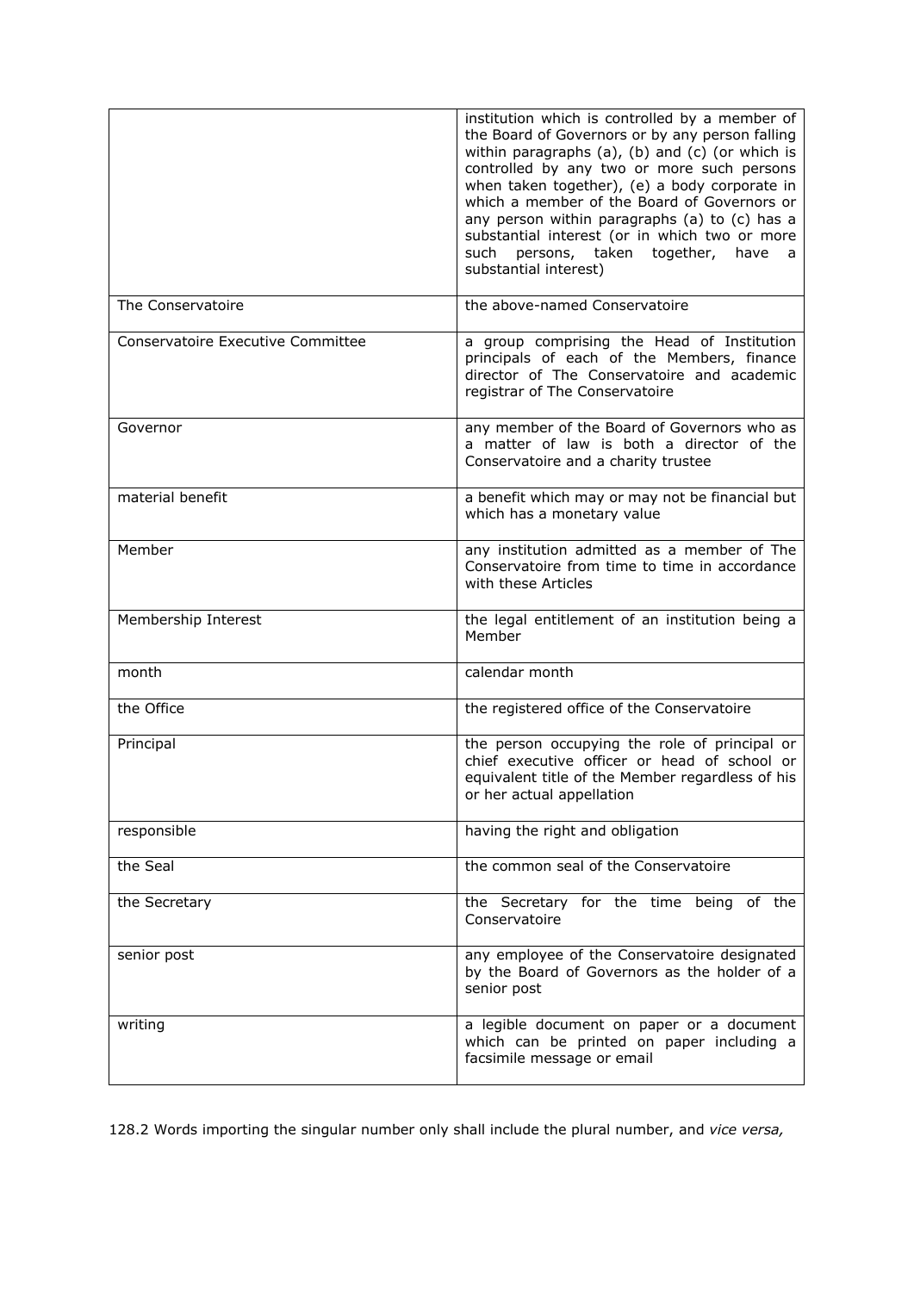|                                   | institution which is controlled by a member of<br>the Board of Governors or by any person falling<br>within paragraphs (a), (b) and (c) (or which is<br>controlled by any two or more such persons<br>when taken together), (e) a body corporate in<br>which a member of the Board of Governors or<br>any person within paragraphs (a) to (c) has a<br>substantial interest (or in which two or more<br>persons, taken together,<br>such<br>have<br>a,<br>substantial interest) |
|-----------------------------------|---------------------------------------------------------------------------------------------------------------------------------------------------------------------------------------------------------------------------------------------------------------------------------------------------------------------------------------------------------------------------------------------------------------------------------------------------------------------------------|
| The Conservatoire                 | the above-named Conservatoire                                                                                                                                                                                                                                                                                                                                                                                                                                                   |
| Conservatoire Executive Committee | a group comprising the Head of Institution<br>principals of each of the Members, finance<br>director of The Conservatoire and academic<br>registrar of The Conservatoire                                                                                                                                                                                                                                                                                                        |
| Governor                          | any member of the Board of Governors who as<br>a matter of law is both a director of the<br>Conservatoire and a charity trustee                                                                                                                                                                                                                                                                                                                                                 |
| material benefit                  | a benefit which may or may not be financial but<br>which has a monetary value                                                                                                                                                                                                                                                                                                                                                                                                   |
| Member                            | any institution admitted as a member of The<br>Conservatoire from time to time in accordance<br>with these Articles                                                                                                                                                                                                                                                                                                                                                             |
| Membership Interest               | the legal entitlement of an institution being a<br>Member                                                                                                                                                                                                                                                                                                                                                                                                                       |
| month                             | calendar month                                                                                                                                                                                                                                                                                                                                                                                                                                                                  |
| the Office                        | the registered office of the Conservatoire                                                                                                                                                                                                                                                                                                                                                                                                                                      |
| Principal                         | the person occupying the role of principal or<br>chief executive officer or head of school or<br>equivalent title of the Member regardless of his<br>or her actual appellation                                                                                                                                                                                                                                                                                                  |
| responsible                       | having the right and obligation                                                                                                                                                                                                                                                                                                                                                                                                                                                 |
| the Seal                          | the common seal of the Conservatoire                                                                                                                                                                                                                                                                                                                                                                                                                                            |
| the Secretary                     | the Secretary for the time being of the<br>Conservatoire                                                                                                                                                                                                                                                                                                                                                                                                                        |
| senior post                       | any employee of the Conservatoire designated<br>by the Board of Governors as the holder of a<br>senior post                                                                                                                                                                                                                                                                                                                                                                     |
| writing                           | a legible document on paper or a document<br>which can be printed on paper including a<br>facsimile message or email                                                                                                                                                                                                                                                                                                                                                            |

128.2 Words importing the singular number only shall include the plural number, and *vice versa,*